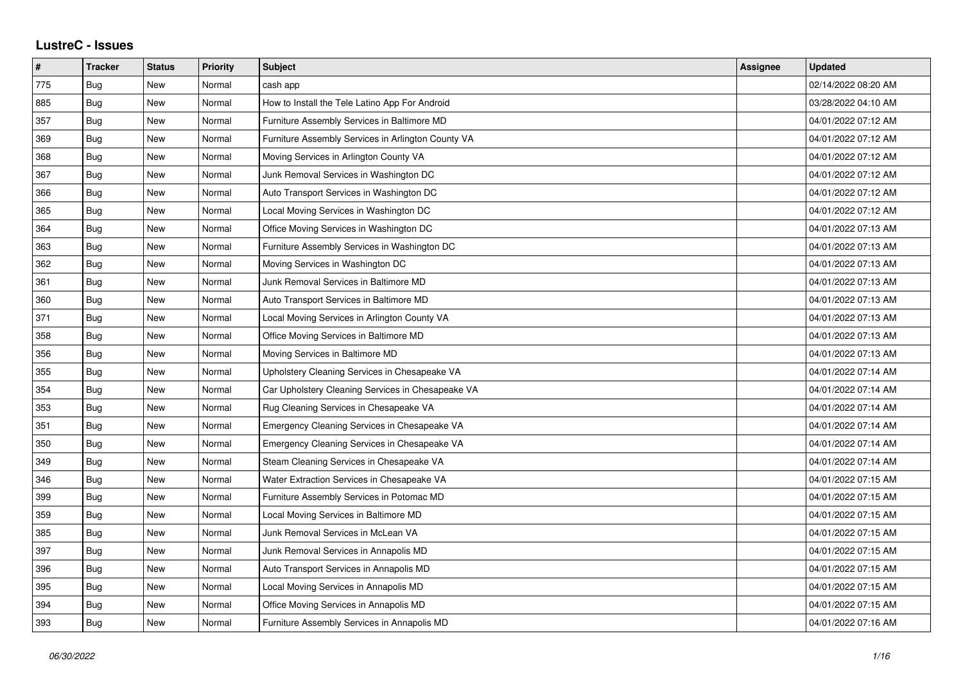## **LustreC - Issues**

| $\pmb{\#}$ | <b>Tracker</b> | <b>Status</b> | <b>Priority</b> | <b>Subject</b>                                     | <b>Assignee</b> | <b>Updated</b>      |
|------------|----------------|---------------|-----------------|----------------------------------------------------|-----------------|---------------------|
| 775        | <b>Bug</b>     | <b>New</b>    | Normal          | cash app                                           |                 | 02/14/2022 08:20 AM |
| 885        | Bug            | New           | Normal          | How to Install the Tele Latino App For Android     |                 | 03/28/2022 04:10 AM |
| 357        | Bug            | New           | Normal          | Furniture Assembly Services in Baltimore MD        |                 | 04/01/2022 07:12 AM |
| 369        | Bug            | <b>New</b>    | Normal          | Furniture Assembly Services in Arlington County VA |                 | 04/01/2022 07:12 AM |
| 368        | Bug            | <b>New</b>    | Normal          | Moving Services in Arlington County VA             |                 | 04/01/2022 07:12 AM |
| 367        | Bug            | <b>New</b>    | Normal          | Junk Removal Services in Washington DC             |                 | 04/01/2022 07:12 AM |
| 366        | Bug            | <b>New</b>    | Normal          | Auto Transport Services in Washington DC           |                 | 04/01/2022 07:12 AM |
| 365        | Bug            | New           | Normal          | Local Moving Services in Washington DC             |                 | 04/01/2022 07:12 AM |
| 364        | Bug            | <b>New</b>    | Normal          | Office Moving Services in Washington DC            |                 | 04/01/2022 07:13 AM |
| 363        | Bug            | New           | Normal          | Furniture Assembly Services in Washington DC       |                 | 04/01/2022 07:13 AM |
| 362        | Bug            | New           | Normal          | Moving Services in Washington DC                   |                 | 04/01/2022 07:13 AM |
| 361        | Bug            | <b>New</b>    | Normal          | Junk Removal Services in Baltimore MD              |                 | 04/01/2022 07:13 AM |
| 360        | Bug            | New           | Normal          | Auto Transport Services in Baltimore MD            |                 | 04/01/2022 07:13 AM |
| 371        | Bug            | New           | Normal          | Local Moving Services in Arlington County VA       |                 | 04/01/2022 07:13 AM |
| 358        | Bug            | <b>New</b>    | Normal          | Office Moving Services in Baltimore MD             |                 | 04/01/2022 07:13 AM |
| 356        | Bug            | New           | Normal          | Moving Services in Baltimore MD                    |                 | 04/01/2022 07:13 AM |
| 355        | Bug            | New           | Normal          | Upholstery Cleaning Services in Chesapeake VA      |                 | 04/01/2022 07:14 AM |
| 354        | Bug            | New           | Normal          | Car Upholstery Cleaning Services in Chesapeake VA  |                 | 04/01/2022 07:14 AM |
| 353        | Bug            | New           | Normal          | Rug Cleaning Services in Chesapeake VA             |                 | 04/01/2022 07:14 AM |
| 351        | Bug            | New           | Normal          | Emergency Cleaning Services in Chesapeake VA       |                 | 04/01/2022 07:14 AM |
| 350        | Bug            | <b>New</b>    | Normal          | Emergency Cleaning Services in Chesapeake VA       |                 | 04/01/2022 07:14 AM |
| 349        | Bug            | New           | Normal          | Steam Cleaning Services in Chesapeake VA           |                 | 04/01/2022 07:14 AM |
| 346        | Bug            | New           | Normal          | Water Extraction Services in Chesapeake VA         |                 | 04/01/2022 07:15 AM |
| 399        | Bug            | <b>New</b>    | Normal          | Furniture Assembly Services in Potomac MD          |                 | 04/01/2022 07:15 AM |
| 359        | Bug            | New           | Normal          | Local Moving Services in Baltimore MD              |                 | 04/01/2022 07:15 AM |
| 385        | Bug            | New           | Normal          | Junk Removal Services in McLean VA                 |                 | 04/01/2022 07:15 AM |
| 397        | Bug            | <b>New</b>    | Normal          | Junk Removal Services in Annapolis MD              |                 | 04/01/2022 07:15 AM |
| 396        | Bug            | New           | Normal          | Auto Transport Services in Annapolis MD            |                 | 04/01/2022 07:15 AM |
| 395        | Bug            | New           | Normal          | Local Moving Services in Annapolis MD              |                 | 04/01/2022 07:15 AM |
| 394        | Bug            | New           | Normal          | Office Moving Services in Annapolis MD             |                 | 04/01/2022 07:15 AM |
| 393        | <b>Bug</b>     | <b>New</b>    | Normal          | Furniture Assembly Services in Annapolis MD        |                 | 04/01/2022 07:16 AM |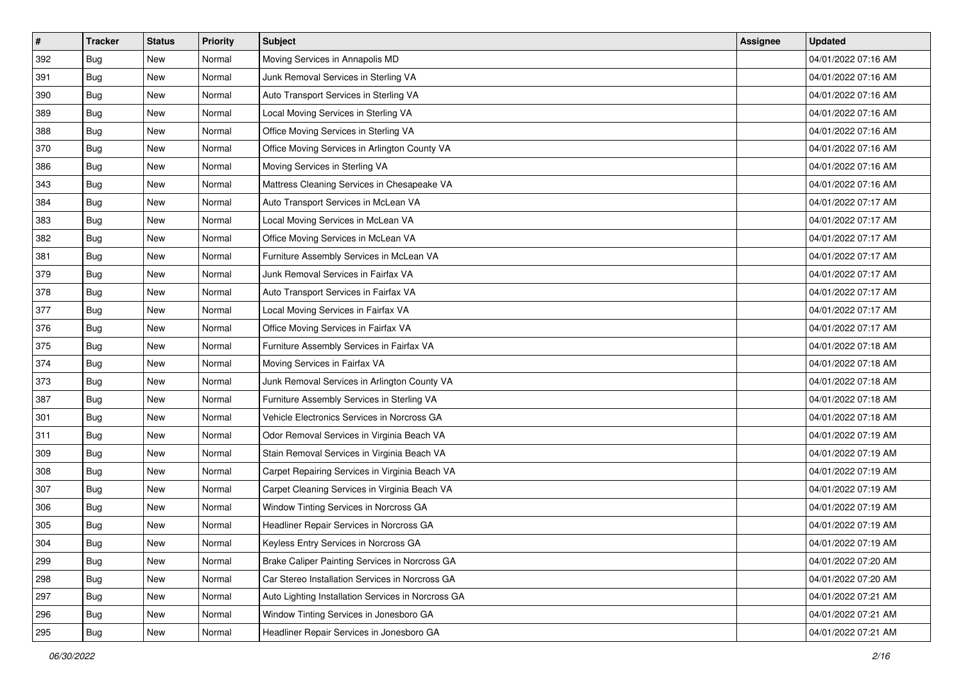| $\pmb{\#}$ | <b>Tracker</b> | <b>Status</b> | <b>Priority</b> | Subject                                            | Assignee | <b>Updated</b>      |
|------------|----------------|---------------|-----------------|----------------------------------------------------|----------|---------------------|
| 392        | <b>Bug</b>     | New           | Normal          | Moving Services in Annapolis MD                    |          | 04/01/2022 07:16 AM |
| 391        | <b>Bug</b>     | New           | Normal          | Junk Removal Services in Sterling VA               |          | 04/01/2022 07:16 AM |
| 390        | Bug            | New           | Normal          | Auto Transport Services in Sterling VA             |          | 04/01/2022 07:16 AM |
| 389        | <b>Bug</b>     | New           | Normal          | Local Moving Services in Sterling VA               |          | 04/01/2022 07:16 AM |
| 388        | Bug            | <b>New</b>    | Normal          | Office Moving Services in Sterling VA              |          | 04/01/2022 07:16 AM |
| 370        | <b>Bug</b>     | New           | Normal          | Office Moving Services in Arlington County VA      |          | 04/01/2022 07:16 AM |
| 386        | Bug            | New           | Normal          | Moving Services in Sterling VA                     |          | 04/01/2022 07:16 AM |
| 343        | <b>Bug</b>     | New           | Normal          | Mattress Cleaning Services in Chesapeake VA        |          | 04/01/2022 07:16 AM |
| 384        | <b>Bug</b>     | New           | Normal          | Auto Transport Services in McLean VA               |          | 04/01/2022 07:17 AM |
| 383        | Bug            | New           | Normal          | Local Moving Services in McLean VA                 |          | 04/01/2022 07:17 AM |
| 382        | <b>Bug</b>     | New           | Normal          | Office Moving Services in McLean VA                |          | 04/01/2022 07:17 AM |
| 381        | <b>Bug</b>     | New           | Normal          | Furniture Assembly Services in McLean VA           |          | 04/01/2022 07:17 AM |
| 379        | <b>Bug</b>     | New           | Normal          | Junk Removal Services in Fairfax VA                |          | 04/01/2022 07:17 AM |
| 378        | <b>Bug</b>     | New           | Normal          | Auto Transport Services in Fairfax VA              |          | 04/01/2022 07:17 AM |
| 377        | <b>Bug</b>     | New           | Normal          | Local Moving Services in Fairfax VA                |          | 04/01/2022 07:17 AM |
| 376        | Bug            | New           | Normal          | Office Moving Services in Fairfax VA               |          | 04/01/2022 07:17 AM |
| 375        | <b>Bug</b>     | New           | Normal          | Furniture Assembly Services in Fairfax VA          |          | 04/01/2022 07:18 AM |
| 374        | Bug            | New           | Normal          | Moving Services in Fairfax VA                      |          | 04/01/2022 07:18 AM |
| 373        | <b>Bug</b>     | New           | Normal          | Junk Removal Services in Arlington County VA       |          | 04/01/2022 07:18 AM |
| 387        | <b>Bug</b>     | New           | Normal          | Furniture Assembly Services in Sterling VA         |          | 04/01/2022 07:18 AM |
| 301        | <b>Bug</b>     | New           | Normal          | Vehicle Electronics Services in Norcross GA        |          | 04/01/2022 07:18 AM |
| 311        | <b>Bug</b>     | New           | Normal          | Odor Removal Services in Virginia Beach VA         |          | 04/01/2022 07:19 AM |
| 309        | Bug            | <b>New</b>    | Normal          | Stain Removal Services in Virginia Beach VA        |          | 04/01/2022 07:19 AM |
| 308        | <b>Bug</b>     | New           | Normal          | Carpet Repairing Services in Virginia Beach VA     |          | 04/01/2022 07:19 AM |
| 307        | <b>Bug</b>     | New           | Normal          | Carpet Cleaning Services in Virginia Beach VA      |          | 04/01/2022 07:19 AM |
| 306        | <b>Bug</b>     | New           | Normal          | Window Tinting Services in Norcross GA             |          | 04/01/2022 07:19 AM |
| 305        | Bug            | New           | Normal          | Headliner Repair Services in Norcross GA           |          | 04/01/2022 07:19 AM |
| 304        | I Bug          | New           | Normal          | Keyless Entry Services in Norcross GA              |          | 04/01/2022 07:19 AM |
| 299        | Bug            | New           | Normal          | Brake Caliper Painting Services in Norcross GA     |          | 04/01/2022 07:20 AM |
| 298        | Bug            | New           | Normal          | Car Stereo Installation Services in Norcross GA    |          | 04/01/2022 07:20 AM |
| 297        | <b>Bug</b>     | New           | Normal          | Auto Lighting Installation Services in Norcross GA |          | 04/01/2022 07:21 AM |
| 296        | Bug            | New           | Normal          | Window Tinting Services in Jonesboro GA            |          | 04/01/2022 07:21 AM |
| 295        | <b>Bug</b>     | New           | Normal          | Headliner Repair Services in Jonesboro GA          |          | 04/01/2022 07:21 AM |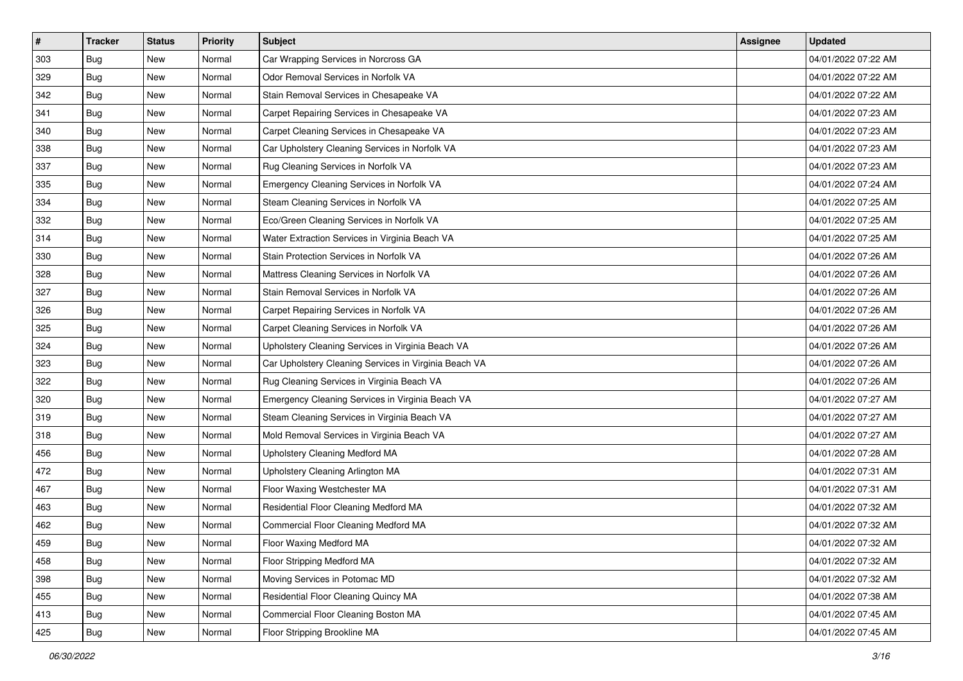| $\pmb{\#}$ | <b>Tracker</b> | <b>Status</b> | <b>Priority</b> | Subject                                               | Assignee | <b>Updated</b>      |
|------------|----------------|---------------|-----------------|-------------------------------------------------------|----------|---------------------|
| 303        | <b>Bug</b>     | New           | Normal          | Car Wrapping Services in Norcross GA                  |          | 04/01/2022 07:22 AM |
| 329        | Bug            | New           | Normal          | Odor Removal Services in Norfolk VA                   |          | 04/01/2022 07:22 AM |
| 342        | <b>Bug</b>     | New           | Normal          | Stain Removal Services in Chesapeake VA               |          | 04/01/2022 07:22 AM |
| 341        | <b>Bug</b>     | New           | Normal          | Carpet Repairing Services in Chesapeake VA            |          | 04/01/2022 07:23 AM |
| 340        | <b>Bug</b>     | New           | Normal          | Carpet Cleaning Services in Chesapeake VA             |          | 04/01/2022 07:23 AM |
| 338        | <b>Bug</b>     | New           | Normal          | Car Upholstery Cleaning Services in Norfolk VA        |          | 04/01/2022 07:23 AM |
| 337        | Bug            | New           | Normal          | Rug Cleaning Services in Norfolk VA                   |          | 04/01/2022 07:23 AM |
| 335        | <b>Bug</b>     | New           | Normal          | Emergency Cleaning Services in Norfolk VA             |          | 04/01/2022 07:24 AM |
| 334        | <b>Bug</b>     | New           | Normal          | Steam Cleaning Services in Norfolk VA                 |          | 04/01/2022 07:25 AM |
| 332        | <b>Bug</b>     | New           | Normal          | Eco/Green Cleaning Services in Norfolk VA             |          | 04/01/2022 07:25 AM |
| 314        | <b>Bug</b>     | New           | Normal          | Water Extraction Services in Virginia Beach VA        |          | 04/01/2022 07:25 AM |
| 330        | Bug            | New           | Normal          | Stain Protection Services in Norfolk VA               |          | 04/01/2022 07:26 AM |
| 328        | Bug            | New           | Normal          | Mattress Cleaning Services in Norfolk VA              |          | 04/01/2022 07:26 AM |
| 327        | <b>Bug</b>     | New           | Normal          | Stain Removal Services in Norfolk VA                  |          | 04/01/2022 07:26 AM |
| 326        | <b>Bug</b>     | New           | Normal          | Carpet Repairing Services in Norfolk VA               |          | 04/01/2022 07:26 AM |
| 325        | <b>Bug</b>     | New           | Normal          | Carpet Cleaning Services in Norfolk VA                |          | 04/01/2022 07:26 AM |
| 324        | <b>Bug</b>     | New           | Normal          | Upholstery Cleaning Services in Virginia Beach VA     |          | 04/01/2022 07:26 AM |
| 323        | Bug            | <b>New</b>    | Normal          | Car Upholstery Cleaning Services in Virginia Beach VA |          | 04/01/2022 07:26 AM |
| 322        | <b>Bug</b>     | New           | Normal          | Rug Cleaning Services in Virginia Beach VA            |          | 04/01/2022 07:26 AM |
| 320        | <b>Bug</b>     | New           | Normal          | Emergency Cleaning Services in Virginia Beach VA      |          | 04/01/2022 07:27 AM |
| 319        | <b>Bug</b>     | New           | Normal          | Steam Cleaning Services in Virginia Beach VA          |          | 04/01/2022 07:27 AM |
| 318        | <b>Bug</b>     | New           | Normal          | Mold Removal Services in Virginia Beach VA            |          | 04/01/2022 07:27 AM |
| 456        | <b>Bug</b>     | New           | Normal          | Upholstery Cleaning Medford MA                        |          | 04/01/2022 07:28 AM |
| 472        | <b>Bug</b>     | New           | Normal          | Upholstery Cleaning Arlington MA                      |          | 04/01/2022 07:31 AM |
| 467        | Bug            | New           | Normal          | Floor Waxing Westchester MA                           |          | 04/01/2022 07:31 AM |
| 463        | Bug            | <b>New</b>    | Normal          | Residential Floor Cleaning Medford MA                 |          | 04/01/2022 07:32 AM |
| 462        | <b>Bug</b>     | New           | Normal          | Commercial Floor Cleaning Medford MA                  |          | 04/01/2022 07:32 AM |
| 459        | <b>Bug</b>     | New           | Normal          | Floor Waxing Medford MA                               |          | 04/01/2022 07:32 AM |
| 458        | <b>Bug</b>     | New           | Normal          | Floor Stripping Medford MA                            |          | 04/01/2022 07:32 AM |
| 398        | <b>Bug</b>     | New           | Normal          | Moving Services in Potomac MD                         |          | 04/01/2022 07:32 AM |
| 455        | Bug            | New           | Normal          | Residential Floor Cleaning Quincy MA                  |          | 04/01/2022 07:38 AM |
| 413        | Bug            | New           | Normal          | Commercial Floor Cleaning Boston MA                   |          | 04/01/2022 07:45 AM |
| 425        | <b>Bug</b>     | New           | Normal          | Floor Stripping Brookline MA                          |          | 04/01/2022 07:45 AM |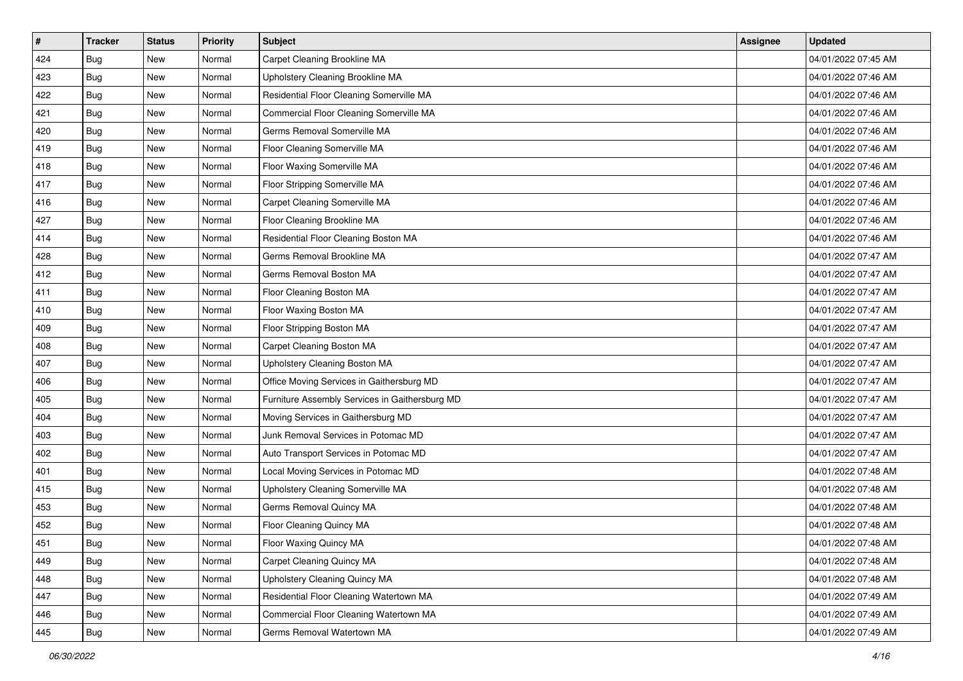| $\sharp$ | <b>Tracker</b> | <b>Status</b> | <b>Priority</b> | <b>Subject</b>                                 | <b>Assignee</b> | <b>Updated</b>      |
|----------|----------------|---------------|-----------------|------------------------------------------------|-----------------|---------------------|
| 424      | Bug            | New           | Normal          | Carpet Cleaning Brookline MA                   |                 | 04/01/2022 07:45 AM |
| 423      | <b>Bug</b>     | <b>New</b>    | Normal          | Upholstery Cleaning Brookline MA               |                 | 04/01/2022 07:46 AM |
| 422      | Bug            | New           | Normal          | Residential Floor Cleaning Somerville MA       |                 | 04/01/2022 07:46 AM |
| 421      | <b>Bug</b>     | New           | Normal          | Commercial Floor Cleaning Somerville MA        |                 | 04/01/2022 07:46 AM |
| 420      | Bug            | <b>New</b>    | Normal          | Germs Removal Somerville MA                    |                 | 04/01/2022 07:46 AM |
| 419      | <b>Bug</b>     | New           | Normal          | Floor Cleaning Somerville MA                   |                 | 04/01/2022 07:46 AM |
| 418      | Bug            | New           | Normal          | Floor Waxing Somerville MA                     |                 | 04/01/2022 07:46 AM |
| 417      | Bug            | New           | Normal          | Floor Stripping Somerville MA                  |                 | 04/01/2022 07:46 AM |
| 416      | <b>Bug</b>     | New           | Normal          | Carpet Cleaning Somerville MA                  |                 | 04/01/2022 07:46 AM |
| 427      | Bug            | <b>New</b>    | Normal          | Floor Cleaning Brookline MA                    |                 | 04/01/2022 07:46 AM |
| 414      | <b>Bug</b>     | New           | Normal          | Residential Floor Cleaning Boston MA           |                 | 04/01/2022 07:46 AM |
| 428      | Bug            | New           | Normal          | Germs Removal Brookline MA                     |                 | 04/01/2022 07:47 AM |
| 412      | <b>Bug</b>     | New           | Normal          | Germs Removal Boston MA                        |                 | 04/01/2022 07:47 AM |
| 411      | <b>Bug</b>     | New           | Normal          | Floor Cleaning Boston MA                       |                 | 04/01/2022 07:47 AM |
| 410      | Bug            | <b>New</b>    | Normal          | Floor Waxing Boston MA                         |                 | 04/01/2022 07:47 AM |
| 409      | Bug            | New           | Normal          | Floor Stripping Boston MA                      |                 | 04/01/2022 07:47 AM |
| 408      | <b>Bug</b>     | New           | Normal          | Carpet Cleaning Boston MA                      |                 | 04/01/2022 07:47 AM |
| 407      | Bug            | New           | Normal          | Upholstery Cleaning Boston MA                  |                 | 04/01/2022 07:47 AM |
| 406      | <b>Bug</b>     | New           | Normal          | Office Moving Services in Gaithersburg MD      |                 | 04/01/2022 07:47 AM |
| 405      | Bug            | New           | Normal          | Furniture Assembly Services in Gaithersburg MD |                 | 04/01/2022 07:47 AM |
| 404      | <b>Bug</b>     | New           | Normal          | Moving Services in Gaithersburg MD             |                 | 04/01/2022 07:47 AM |
| 403      | <b>Bug</b>     | <b>New</b>    | Normal          | Junk Removal Services in Potomac MD            |                 | 04/01/2022 07:47 AM |
| 402      | Bug            | <b>New</b>    | Normal          | Auto Transport Services in Potomac MD          |                 | 04/01/2022 07:47 AM |
| 401      | Bug            | New           | Normal          | Local Moving Services in Potomac MD            |                 | 04/01/2022 07:48 AM |
| 415      | Bug            | New           | Normal          | Upholstery Cleaning Somerville MA              |                 | 04/01/2022 07:48 AM |
| 453      | <b>Bug</b>     | New           | Normal          | Germs Removal Quincy MA                        |                 | 04/01/2022 07:48 AM |
| 452      | <b>Bug</b>     | New           | Normal          | Floor Cleaning Quincy MA                       |                 | 04/01/2022 07:48 AM |
| 451      | <b>Bug</b>     | New           | Normal          | Floor Waxing Quincy MA                         |                 | 04/01/2022 07:48 AM |
| 449      | Bug            | New           | Normal          | Carpet Cleaning Quincy MA                      |                 | 04/01/2022 07:48 AM |
| 448      | <b>Bug</b>     | New           | Normal          | Upholstery Cleaning Quincy MA                  |                 | 04/01/2022 07:48 AM |
| 447      | <b>Bug</b>     | New           | Normal          | Residential Floor Cleaning Watertown MA        |                 | 04/01/2022 07:49 AM |
| 446      | <b>Bug</b>     | New           | Normal          | Commercial Floor Cleaning Watertown MA         |                 | 04/01/2022 07:49 AM |
| 445      | Bug            | New           | Normal          | Germs Removal Watertown MA                     |                 | 04/01/2022 07:49 AM |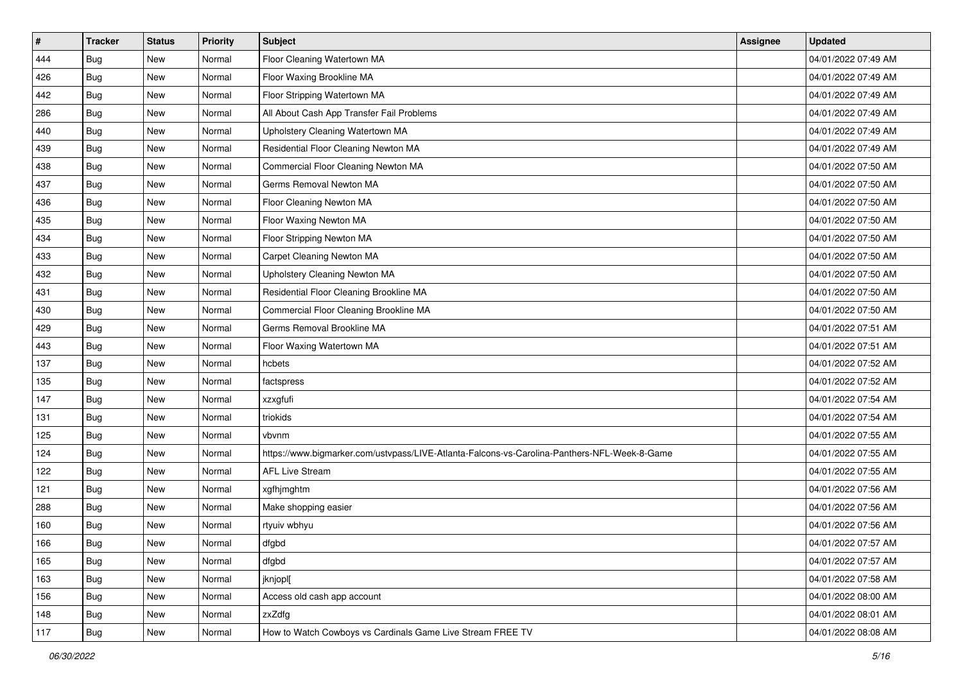| $\sharp$ | <b>Tracker</b> | <b>Status</b> | <b>Priority</b> | <b>Subject</b>                                                                               | Assignee | <b>Updated</b>      |
|----------|----------------|---------------|-----------------|----------------------------------------------------------------------------------------------|----------|---------------------|
| 444      | Bug            | New           | Normal          | Floor Cleaning Watertown MA                                                                  |          | 04/01/2022 07:49 AM |
| 426      | Bug            | <b>New</b>    | Normal          | Floor Waxing Brookline MA                                                                    |          | 04/01/2022 07:49 AM |
| 442      | Bug            | New           | Normal          | Floor Stripping Watertown MA                                                                 |          | 04/01/2022 07:49 AM |
| 286      | <b>Bug</b>     | <b>New</b>    | Normal          | All About Cash App Transfer Fail Problems                                                    |          | 04/01/2022 07:49 AM |
| 440      | Bug            | <b>New</b>    | Normal          | Upholstery Cleaning Watertown MA                                                             |          | 04/01/2022 07:49 AM |
| 439      | <b>Bug</b>     | New           | Normal          | Residential Floor Cleaning Newton MA                                                         |          | 04/01/2022 07:49 AM |
| 438      | Bug            | <b>New</b>    | Normal          | Commercial Floor Cleaning Newton MA                                                          |          | 04/01/2022 07:50 AM |
| 437      | Bug            | New           | Normal          | Germs Removal Newton MA                                                                      |          | 04/01/2022 07:50 AM |
| 436      | <b>Bug</b>     | <b>New</b>    | Normal          | Floor Cleaning Newton MA                                                                     |          | 04/01/2022 07:50 AM |
| 435      | Bug            | <b>New</b>    | Normal          | Floor Waxing Newton MA                                                                       |          | 04/01/2022 07:50 AM |
| 434      | Bug            | New           | Normal          | Floor Stripping Newton MA                                                                    |          | 04/01/2022 07:50 AM |
| 433      | Bug            | New           | Normal          | Carpet Cleaning Newton MA                                                                    |          | 04/01/2022 07:50 AM |
| 432      | Bug            | New           | Normal          | Upholstery Cleaning Newton MA                                                                |          | 04/01/2022 07:50 AM |
| 431      | Bug            | New           | Normal          | Residential Floor Cleaning Brookline MA                                                      |          | 04/01/2022 07:50 AM |
| 430      | Bug            | <b>New</b>    | Normal          | Commercial Floor Cleaning Brookline MA                                                       |          | 04/01/2022 07:50 AM |
| 429      | Bug            | New           | Normal          | Germs Removal Brookline MA                                                                   |          | 04/01/2022 07:51 AM |
| 443      | <b>Bug</b>     | <b>New</b>    | Normal          | Floor Waxing Watertown MA                                                                    |          | 04/01/2022 07:51 AM |
| 137      | Bug            | New           | Normal          | hcbets                                                                                       |          | 04/01/2022 07:52 AM |
| 135      | Bug            | New           | Normal          | factspress                                                                                   |          | 04/01/2022 07:52 AM |
| 147      | Bug            | <b>New</b>    | Normal          | xzxgfufi                                                                                     |          | 04/01/2022 07:54 AM |
| 131      | Bug            | New           | Normal          | triokids                                                                                     |          | 04/01/2022 07:54 AM |
| 125      | <b>Bug</b>     | <b>New</b>    | Normal          | vbvnm                                                                                        |          | 04/01/2022 07:55 AM |
| 124      | Bug            | <b>New</b>    | Normal          | https://www.bigmarker.com/ustvpass/LIVE-Atlanta-Falcons-vs-Carolina-Panthers-NFL-Week-8-Game |          | 04/01/2022 07:55 AM |
| 122      | Bug            | New           | Normal          | <b>AFL Live Stream</b>                                                                       |          | 04/01/2022 07:55 AM |
| 121      | <b>Bug</b>     | New           | Normal          | xgfhjmghtm                                                                                   |          | 04/01/2022 07:56 AM |
| 288      | <b>Bug</b>     | New           | Normal          | Make shopping easier                                                                         |          | 04/01/2022 07:56 AM |
| 160      | Bug            | New           | Normal          | rtyuiv wbhyu                                                                                 |          | 04/01/2022 07:56 AM |
| 166      | <b>Bug</b>     | New           | Normal          | dfgbd                                                                                        |          | 04/01/2022 07:57 AM |
| 165      | Bug            | New           | Normal          | dfgbd                                                                                        |          | 04/01/2022 07:57 AM |
| 163      | <b>Bug</b>     | New           | Normal          | jknjopl[                                                                                     |          | 04/01/2022 07:58 AM |
| 156      | Bug            | New           | Normal          | Access old cash app account                                                                  |          | 04/01/2022 08:00 AM |
| 148      | <b>Bug</b>     | New           | Normal          | zxZdfg                                                                                       |          | 04/01/2022 08:01 AM |
| 117      | <b>Bug</b>     | New           | Normal          | How to Watch Cowboys vs Cardinals Game Live Stream FREE TV                                   |          | 04/01/2022 08:08 AM |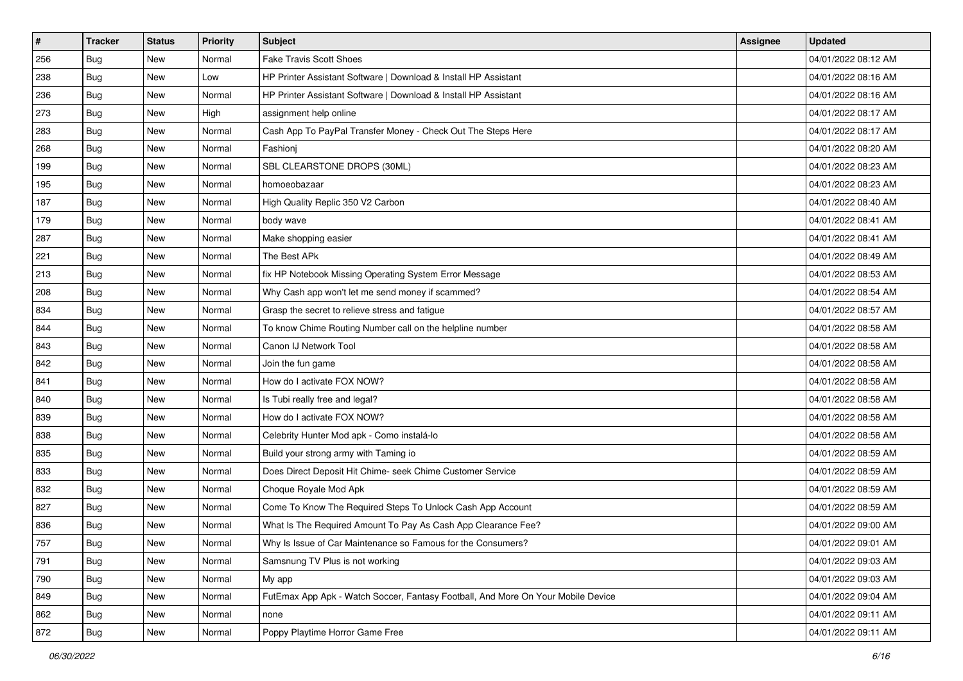| #   | <b>Tracker</b> | <b>Status</b> | <b>Priority</b> | Subject                                                                          | <b>Assignee</b> | <b>Updated</b>      |
|-----|----------------|---------------|-----------------|----------------------------------------------------------------------------------|-----------------|---------------------|
| 256 | <b>Bug</b>     | New           | Normal          | <b>Fake Travis Scott Shoes</b>                                                   |                 | 04/01/2022 08:12 AM |
| 238 | Bug            | New           | Low             | HP Printer Assistant Software   Download & Install HP Assistant                  |                 | 04/01/2022 08:16 AM |
| 236 | Bug            | New           | Normal          | HP Printer Assistant Software   Download & Install HP Assistant                  |                 | 04/01/2022 08:16 AM |
| 273 | <b>Bug</b>     | New           | High            | assignment help online                                                           |                 | 04/01/2022 08:17 AM |
| 283 | Bug            | New           | Normal          | Cash App To PayPal Transfer Money - Check Out The Steps Here                     |                 | 04/01/2022 08:17 AM |
| 268 | <b>Bug</b>     | New           | Normal          | Fashioni                                                                         |                 | 04/01/2022 08:20 AM |
| 199 | <b>Bug</b>     | New           | Normal          | SBL CLEARSTONE DROPS (30ML)                                                      |                 | 04/01/2022 08:23 AM |
| 195 | <b>Bug</b>     | New           | Normal          | homoeobazaar                                                                     |                 | 04/01/2022 08:23 AM |
| 187 | Bug            | New           | Normal          | High Quality Replic 350 V2 Carbon                                                |                 | 04/01/2022 08:40 AM |
| 179 | Bug            | New           | Normal          | body wave                                                                        |                 | 04/01/2022 08:41 AM |
| 287 | Bug            | New           | Normal          | Make shopping easier                                                             |                 | 04/01/2022 08:41 AM |
| 221 | <b>Bug</b>     | New           | Normal          | The Best APk                                                                     |                 | 04/01/2022 08:49 AM |
| 213 | Bug            | New           | Normal          | fix HP Notebook Missing Operating System Error Message                           |                 | 04/01/2022 08:53 AM |
| 208 | <b>Bug</b>     | New           | Normal          | Why Cash app won't let me send money if scammed?                                 |                 | 04/01/2022 08:54 AM |
| 834 | <b>Bug</b>     | New           | Normal          | Grasp the secret to relieve stress and fatigue                                   |                 | 04/01/2022 08:57 AM |
| 844 | <b>Bug</b>     | New           | Normal          | To know Chime Routing Number call on the helpline number                         |                 | 04/01/2022 08:58 AM |
| 843 | <b>Bug</b>     | New           | Normal          | Canon IJ Network Tool                                                            |                 | 04/01/2022 08:58 AM |
| 842 | Bug            | New           | Normal          | Join the fun game                                                                |                 | 04/01/2022 08:58 AM |
| 841 | <b>Bug</b>     | New           | Normal          | How do I activate FOX NOW?                                                       |                 | 04/01/2022 08:58 AM |
| 840 | Bug            | New           | Normal          | Is Tubi really free and legal?                                                   |                 | 04/01/2022 08:58 AM |
| 839 | <b>Bug</b>     | New           | Normal          | How do I activate FOX NOW?                                                       |                 | 04/01/2022 08:58 AM |
| 838 | Bug            | New           | Normal          | Celebrity Hunter Mod apk - Como instalá-lo                                       |                 | 04/01/2022 08:58 AM |
| 835 | Bug            | New           | Normal          | Build your strong army with Taming io                                            |                 | 04/01/2022 08:59 AM |
| 833 | <b>Bug</b>     | New           | Normal          | Does Direct Deposit Hit Chime- seek Chime Customer Service                       |                 | 04/01/2022 08:59 AM |
| 832 | <b>Bug</b>     | New           | Normal          | Choque Royale Mod Apk                                                            |                 | 04/01/2022 08:59 AM |
| 827 | Bug            | New           | Normal          | Come To Know The Required Steps To Unlock Cash App Account                       |                 | 04/01/2022 08:59 AM |
| 836 | <b>Bug</b>     | New           | Normal          | What Is The Required Amount To Pay As Cash App Clearance Fee?                    |                 | 04/01/2022 09:00 AM |
| 757 | Bug            | New           | Normal          | Why Is Issue of Car Maintenance so Famous for the Consumers?                     |                 | 04/01/2022 09:01 AM |
| 791 | Bug            | New           | Normal          | Samsnung TV Plus is not working                                                  |                 | 04/01/2022 09:03 AM |
| 790 | <b>Bug</b>     | New           | Normal          | My app                                                                           |                 | 04/01/2022 09:03 AM |
| 849 | Bug            | New           | Normal          | FutEmax App Apk - Watch Soccer, Fantasy Football, And More On Your Mobile Device |                 | 04/01/2022 09:04 AM |
| 862 | <b>Bug</b>     | New           | Normal          | none                                                                             |                 | 04/01/2022 09:11 AM |
| 872 | <b>Bug</b>     | New           | Normal          | Poppy Playtime Horror Game Free                                                  |                 | 04/01/2022 09:11 AM |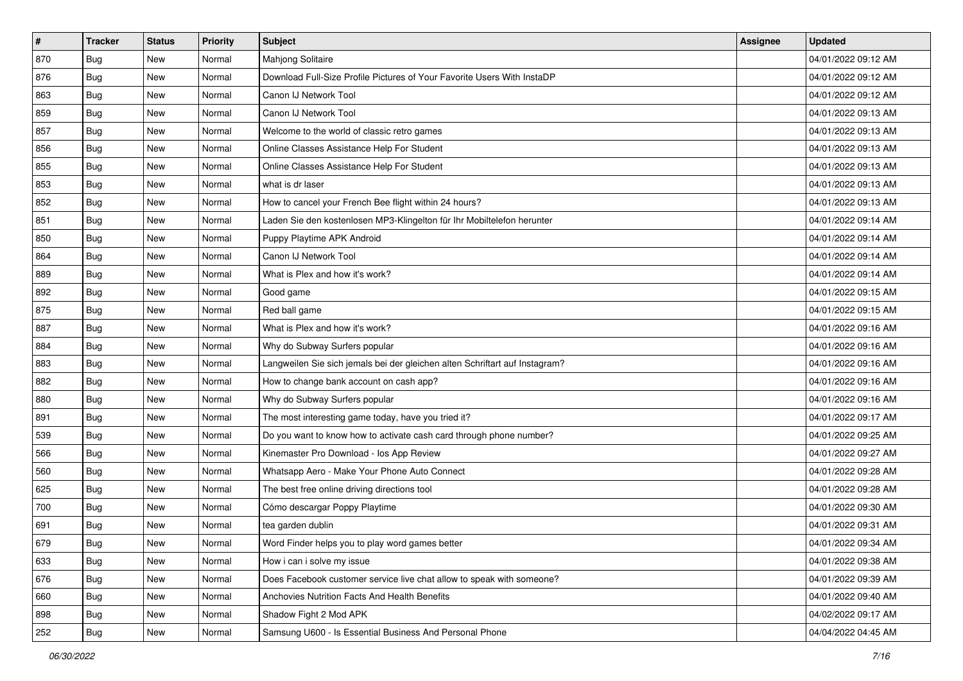| $\sharp$ | <b>Tracker</b> | <b>Status</b> | <b>Priority</b> | <b>Subject</b>                                                              | Assignee | <b>Updated</b>      |
|----------|----------------|---------------|-----------------|-----------------------------------------------------------------------------|----------|---------------------|
| 870      | <b>Bug</b>     | New           | Normal          | Mahjong Solitaire                                                           |          | 04/01/2022 09:12 AM |
| 876      | <b>Bug</b>     | <b>New</b>    | Normal          | Download Full-Size Profile Pictures of Your Favorite Users With InstaDP     |          | 04/01/2022 09:12 AM |
| 863      | Bug            | New           | Normal          | Canon IJ Network Tool                                                       |          | 04/01/2022 09:12 AM |
| 859      | <b>Bug</b>     | New           | Normal          | Canon IJ Network Tool                                                       |          | 04/01/2022 09:13 AM |
| 857      | Bug            | <b>New</b>    | Normal          | Welcome to the world of classic retro games                                 |          | 04/01/2022 09:13 AM |
| 856      | <b>Bug</b>     | New           | Normal          | Online Classes Assistance Help For Student                                  |          | 04/01/2022 09:13 AM |
| 855      | Bug            | New           | Normal          | Online Classes Assistance Help For Student                                  |          | 04/01/2022 09:13 AM |
| 853      | <b>Bug</b>     | New           | Normal          | what is dr laser                                                            |          | 04/01/2022 09:13 AM |
| 852      | <b>Bug</b>     | New           | Normal          | How to cancel your French Bee flight within 24 hours?                       |          | 04/01/2022 09:13 AM |
| 851      | Bug            | <b>New</b>    | Normal          | Laden Sie den kostenlosen MP3-Klingelton für Ihr Mobiltelefon herunter      |          | 04/01/2022 09:14 AM |
| 850      | Bug            | New           | Normal          | Puppy Playtime APK Android                                                  |          | 04/01/2022 09:14 AM |
| 864      | <b>Bug</b>     | New           | Normal          | Canon IJ Network Tool                                                       |          | 04/01/2022 09:14 AM |
| 889      | Bug            | New           | Normal          | What is Plex and how it's work?                                             |          | 04/01/2022 09:14 AM |
| 892      | <b>Bug</b>     | New           | Normal          | Good game                                                                   |          | 04/01/2022 09:15 AM |
| 875      | <b>Bug</b>     | <b>New</b>    | Normal          | Red ball game                                                               |          | 04/01/2022 09:15 AM |
| 887      | Bug            | New           | Normal          | What is Plex and how it's work?                                             |          | 04/01/2022 09:16 AM |
| 884      | <b>Bug</b>     | <b>New</b>    | Normal          | Why do Subway Surfers popular                                               |          | 04/01/2022 09:16 AM |
| 883      | Bug            | <b>New</b>    | Normal          | Langweilen Sie sich jemals bei der gleichen alten Schriftart auf Instagram? |          | 04/01/2022 09:16 AM |
| 882      | <b>Bug</b>     | New           | Normal          | How to change bank account on cash app?                                     |          | 04/01/2022 09:16 AM |
| 880      | Bug            | New           | Normal          | Why do Subway Surfers popular                                               |          | 04/01/2022 09:16 AM |
| 891      | Bug            | New           | Normal          | The most interesting game today, have you tried it?                         |          | 04/01/2022 09:17 AM |
| 539      | <b>Bug</b>     | <b>New</b>    | Normal          | Do you want to know how to activate cash card through phone number?         |          | 04/01/2022 09:25 AM |
| 566      | Bug            | <b>New</b>    | Normal          | Kinemaster Pro Download - los App Review                                    |          | 04/01/2022 09:27 AM |
| 560      | Bug            | New           | Normal          | Whatsapp Aero - Make Your Phone Auto Connect                                |          | 04/01/2022 09:28 AM |
| 625      | Bug            | New           | Normal          | The best free online driving directions tool                                |          | 04/01/2022 09:28 AM |
| 700      | Bug            | <b>New</b>    | Normal          | Cómo descargar Poppy Playtime                                               |          | 04/01/2022 09:30 AM |
| 691      | <b>Bug</b>     | New           | Normal          | tea garden dublin                                                           |          | 04/01/2022 09:31 AM |
| 679      | i Bug          | New           | Normal          | Word Finder helps you to play word games better                             |          | 04/01/2022 09:34 AM |
| 633      | Bug            | New           | Normal          | How i can i solve my issue                                                  |          | 04/01/2022 09:38 AM |
| 676      | <b>Bug</b>     | New           | Normal          | Does Facebook customer service live chat allow to speak with someone?       |          | 04/01/2022 09:39 AM |
| 660      | <b>Bug</b>     | New           | Normal          | Anchovies Nutrition Facts And Health Benefits                               |          | 04/01/2022 09:40 AM |
| 898      | <b>Bug</b>     | New           | Normal          | Shadow Fight 2 Mod APK                                                      |          | 04/02/2022 09:17 AM |
| 252      | <b>Bug</b>     | New           | Normal          | Samsung U600 - Is Essential Business And Personal Phone                     |          | 04/04/2022 04:45 AM |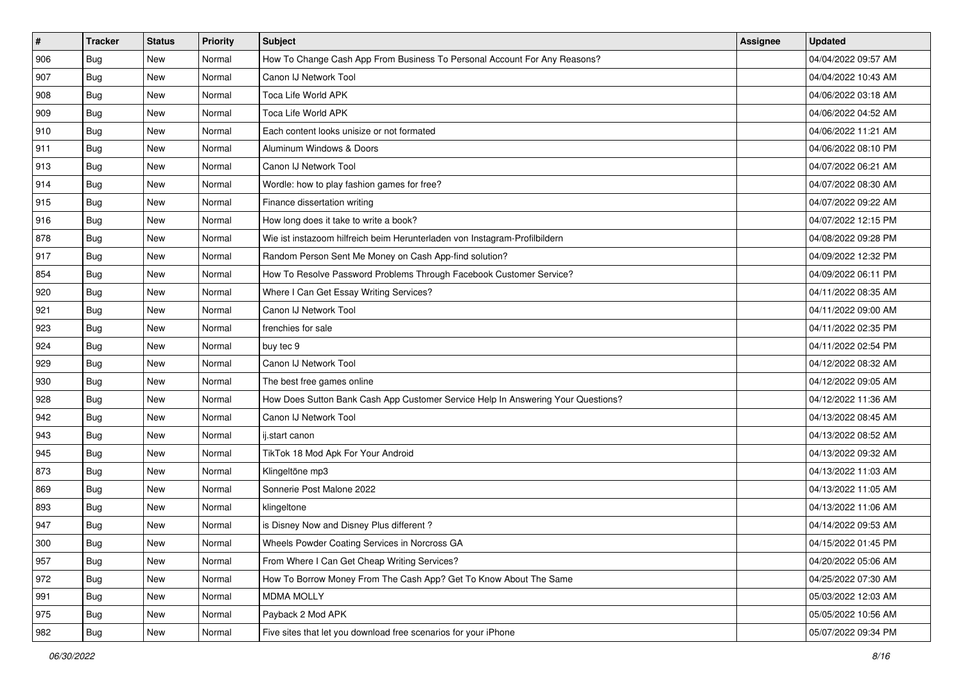| $\vert$ # | <b>Tracker</b> | <b>Status</b> | <b>Priority</b> | <b>Subject</b>                                                                   | Assignee | <b>Updated</b>      |
|-----------|----------------|---------------|-----------------|----------------------------------------------------------------------------------|----------|---------------------|
| 906       | <b>Bug</b>     | New           | Normal          | How To Change Cash App From Business To Personal Account For Any Reasons?        |          | 04/04/2022 09:57 AM |
| 907       | Bug            | New           | Normal          | Canon IJ Network Tool                                                            |          | 04/04/2022 10:43 AM |
| 908       | Bug            | New           | Normal          | Toca Life World APK                                                              |          | 04/06/2022 03:18 AM |
| 909       | Bug            | New           | Normal          | Toca Life World APK                                                              |          | 04/06/2022 04:52 AM |
| 910       | Bug            | <b>New</b>    | Normal          | Each content looks unisize or not formated                                       |          | 04/06/2022 11:21 AM |
| 911       | Bug            | New           | Normal          | Aluminum Windows & Doors                                                         |          | 04/06/2022 08:10 PM |
| 913       | <b>Bug</b>     | <b>New</b>    | Normal          | Canon IJ Network Tool                                                            |          | 04/07/2022 06:21 AM |
| 914       | Bug            | <b>New</b>    | Normal          | Wordle: how to play fashion games for free?                                      |          | 04/07/2022 08:30 AM |
| 915       | Bug            | New           | Normal          | Finance dissertation writing                                                     |          | 04/07/2022 09:22 AM |
| 916       | <b>Bug</b>     | New           | Normal          | How long does it take to write a book?                                           |          | 04/07/2022 12:15 PM |
| 878       | <b>Bug</b>     | New           | Normal          | Wie ist instazoom hilfreich beim Herunterladen von Instagram-Profilbildern       |          | 04/08/2022 09:28 PM |
| 917       | <b>Bug</b>     | <b>New</b>    | Normal          | Random Person Sent Me Money on Cash App-find solution?                           |          | 04/09/2022 12:32 PM |
| 854       | Bug            | <b>New</b>    | Normal          | How To Resolve Password Problems Through Facebook Customer Service?              |          | 04/09/2022 06:11 PM |
| 920       | Bug            | New           | Normal          | Where I Can Get Essay Writing Services?                                          |          | 04/11/2022 08:35 AM |
| 921       | Bug            | New           | Normal          | Canon IJ Network Tool                                                            |          | 04/11/2022 09:00 AM |
| 923       | Bug            | New           | Normal          | frenchies for sale                                                               |          | 04/11/2022 02:35 PM |
| 924       | <b>Bug</b>     | <b>New</b>    | Normal          | buy tec 9                                                                        |          | 04/11/2022 02:54 PM |
| 929       | Bug            | <b>New</b>    | Normal          | Canon IJ Network Tool                                                            |          | 04/12/2022 08:32 AM |
| 930       | <b>Bug</b>     | New           | Normal          | The best free games online                                                       |          | 04/12/2022 09:05 AM |
| 928       | Bug            | New           | Normal          | How Does Sutton Bank Cash App Customer Service Help In Answering Your Questions? |          | 04/12/2022 11:36 AM |
| 942       | <b>Bug</b>     | New           | Normal          | Canon IJ Network Tool                                                            |          | 04/13/2022 08:45 AM |
| 943       | Bug            | New           | Normal          | ij.start canon                                                                   |          | 04/13/2022 08:52 AM |
| 945       | <b>Bug</b>     | New           | Normal          | TikTok 18 Mod Apk For Your Android                                               |          | 04/13/2022 09:32 AM |
| 873       | <b>Bug</b>     | New           | Normal          | Klingeltöne mp3                                                                  |          | 04/13/2022 11:03 AM |
| 869       | Bug            | New           | Normal          | Sonnerie Post Malone 2022                                                        |          | 04/13/2022 11:05 AM |
| 893       | Bug            | <b>New</b>    | Normal          | klingeltone                                                                      |          | 04/13/2022 11:06 AM |
| 947       | <b>Bug</b>     | New           | Normal          | is Disney Now and Disney Plus different?                                         |          | 04/14/2022 09:53 AM |
| 300       | <b>Bug</b>     | New           | Normal          | Wheels Powder Coating Services in Norcross GA                                    |          | 04/15/2022 01:45 PM |
| 957       | <b>Bug</b>     | New           | Normal          | From Where I Can Get Cheap Writing Services?                                     |          | 04/20/2022 05:06 AM |
| 972       | <b>Bug</b>     | New           | Normal          | How To Borrow Money From The Cash App? Get To Know About The Same                |          | 04/25/2022 07:30 AM |
| 991       | <b>Bug</b>     | New           | Normal          | <b>MDMA MOLLY</b>                                                                |          | 05/03/2022 12:03 AM |
| 975       | Bug            | New           | Normal          | Payback 2 Mod APK                                                                |          | 05/05/2022 10:56 AM |
| 982       | <b>Bug</b>     | New           | Normal          | Five sites that let you download free scenarios for your iPhone                  |          | 05/07/2022 09:34 PM |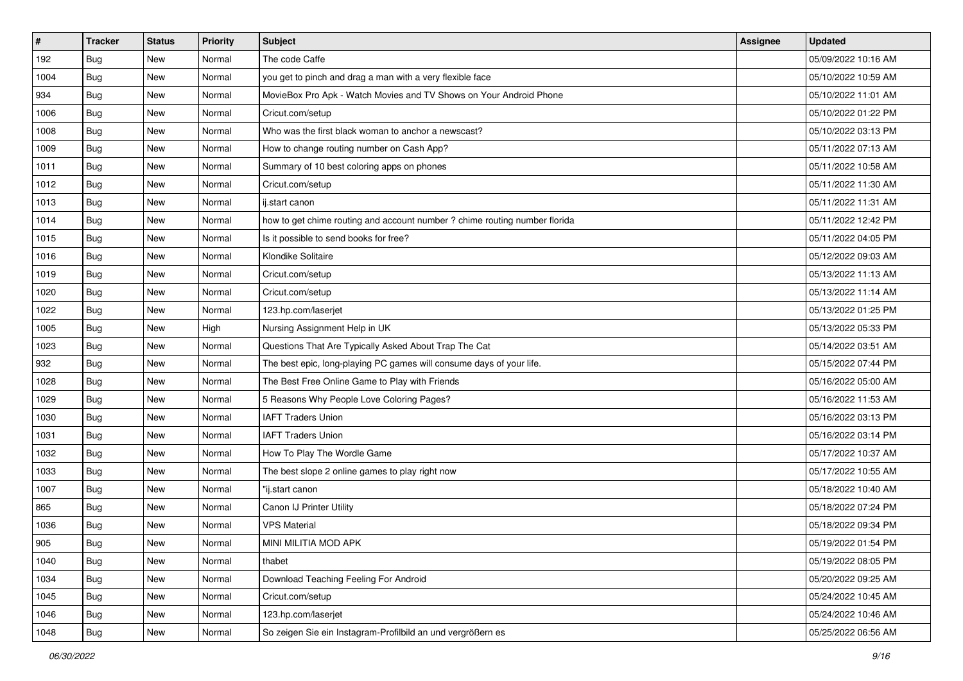| $\vert$ # | <b>Tracker</b> | <b>Status</b> | <b>Priority</b> | Subject                                                                    | <b>Assignee</b> | <b>Updated</b>      |
|-----------|----------------|---------------|-----------------|----------------------------------------------------------------------------|-----------------|---------------------|
| 192       | <b>Bug</b>     | New           | Normal          | The code Caffe                                                             |                 | 05/09/2022 10:16 AM |
| 1004      | Bug            | New           | Normal          | you get to pinch and drag a man with a very flexible face                  |                 | 05/10/2022 10:59 AM |
| 934       | Bug            | New           | Normal          | MovieBox Pro Apk - Watch Movies and TV Shows on Your Android Phone         |                 | 05/10/2022 11:01 AM |
| 1006      | <b>Bug</b>     | New           | Normal          | Cricut.com/setup                                                           |                 | 05/10/2022 01:22 PM |
| 1008      | Bug            | <b>New</b>    | Normal          | Who was the first black woman to anchor a newscast?                        |                 | 05/10/2022 03:13 PM |
| 1009      | <b>Bug</b>     | New           | Normal          | How to change routing number on Cash App?                                  |                 | 05/11/2022 07:13 AM |
| 1011      | Bug            | New           | Normal          | Summary of 10 best coloring apps on phones                                 |                 | 05/11/2022 10:58 AM |
| 1012      | Bug            | New           | Normal          | Cricut.com/setup                                                           |                 | 05/11/2022 11:30 AM |
| 1013      | <b>Bug</b>     | New           | Normal          | ij.start canon                                                             |                 | 05/11/2022 11:31 AM |
| 1014      | Bug            | New           | Normal          | how to get chime routing and account number ? chime routing number florida |                 | 05/11/2022 12:42 PM |
| 1015      | Bug            | New           | Normal          | Is it possible to send books for free?                                     |                 | 05/11/2022 04:05 PM |
| 1016      | Bug            | New           | Normal          | Klondike Solitaire                                                         |                 | 05/12/2022 09:03 AM |
| 1019      | Bug            | New           | Normal          | Cricut.com/setup                                                           |                 | 05/13/2022 11:13 AM |
| 1020      | <b>Bug</b>     | New           | Normal          | Cricut.com/setup                                                           |                 | 05/13/2022 11:14 AM |
| 1022      | Bug            | New           | Normal          | 123.hp.com/laserjet                                                        |                 | 05/13/2022 01:25 PM |
| 1005      | Bug            | New           | High            | Nursing Assignment Help in UK                                              |                 | 05/13/2022 05:33 PM |
| 1023      | <b>Bug</b>     | New           | Normal          | Questions That Are Typically Asked About Trap The Cat                      |                 | 05/14/2022 03:51 AM |
| 932       | Bug            | New           | Normal          | The best epic, long-playing PC games will consume days of your life.       |                 | 05/15/2022 07:44 PM |
| 1028      | <b>Bug</b>     | New           | Normal          | The Best Free Online Game to Play with Friends                             |                 | 05/16/2022 05:00 AM |
| 1029      | Bug            | New           | Normal          | 5 Reasons Why People Love Coloring Pages?                                  |                 | 05/16/2022 11:53 AM |
| 1030      | Bug            | New           | Normal          | <b>IAFT Traders Union</b>                                                  |                 | 05/16/2022 03:13 PM |
| 1031      | <b>Bug</b>     | New           | Normal          | <b>IAFT Traders Union</b>                                                  |                 | 05/16/2022 03:14 PM |
| 1032      | Bug            | <b>New</b>    | Normal          | How To Play The Wordle Game                                                |                 | 05/17/2022 10:37 AM |
| 1033      | Bug            | New           | Normal          | The best slope 2 online games to play right now                            |                 | 05/17/2022 10:55 AM |
| 1007      | <b>Bug</b>     | New           | Normal          | "ij.start canon                                                            |                 | 05/18/2022 10:40 AM |
| 865       | Bug            | New           | Normal          | Canon IJ Printer Utility                                                   |                 | 05/18/2022 07:24 PM |
| 1036      | <b>Bug</b>     | New           | Normal          | <b>VPS Material</b>                                                        |                 | 05/18/2022 09:34 PM |
| 905       | <b>Bug</b>     | New           | Normal          | MINI MILITIA MOD APK                                                       |                 | 05/19/2022 01:54 PM |
| 1040      | <b>Bug</b>     | New           | Normal          | thabet                                                                     |                 | 05/19/2022 08:05 PM |
| 1034      | Bug            | New           | Normal          | Download Teaching Feeling For Android                                      |                 | 05/20/2022 09:25 AM |
| 1045      | Bug            | New           | Normal          | Cricut.com/setup                                                           |                 | 05/24/2022 10:45 AM |
| 1046      | Bug            | New           | Normal          | 123.hp.com/laserjet                                                        |                 | 05/24/2022 10:46 AM |
| 1048      | <b>Bug</b>     | New           | Normal          | So zeigen Sie ein Instagram-Profilbild an und vergrößern es                |                 | 05/25/2022 06:56 AM |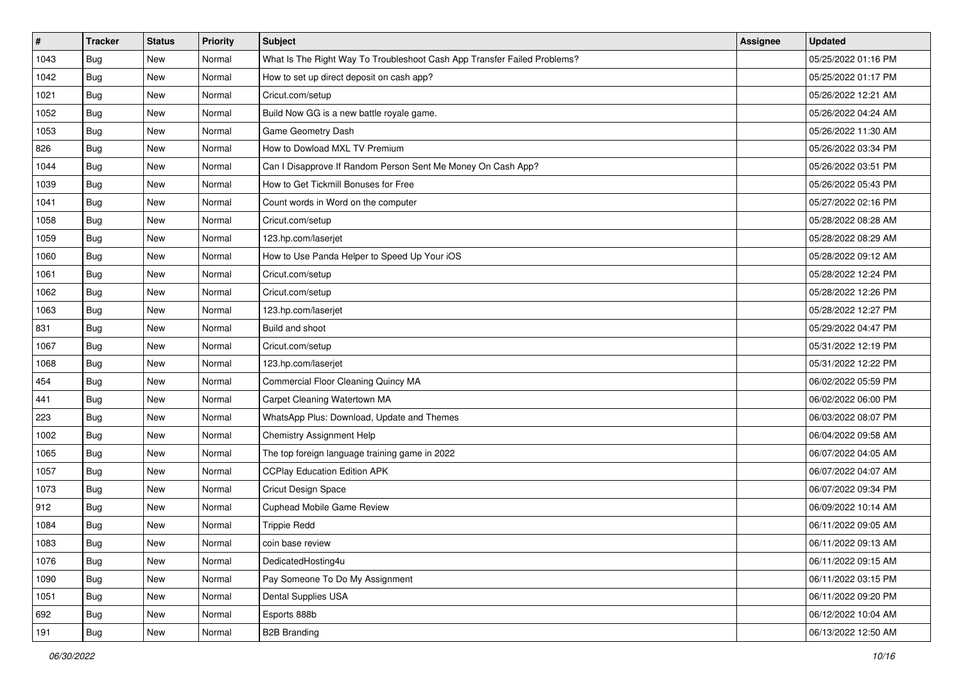| $\vert$ # | <b>Tracker</b> | <b>Status</b> | Priority | <b>Subject</b>                                                           | Assignee | <b>Updated</b>      |
|-----------|----------------|---------------|----------|--------------------------------------------------------------------------|----------|---------------------|
| 1043      | Bug            | New           | Normal   | What Is The Right Way To Troubleshoot Cash App Transfer Failed Problems? |          | 05/25/2022 01:16 PM |
| 1042      | <b>Bug</b>     | New           | Normal   | How to set up direct deposit on cash app?                                |          | 05/25/2022 01:17 PM |
| 1021      | Bug            | New           | Normal   | Cricut.com/setup                                                         |          | 05/26/2022 12:21 AM |
| 1052      | Bug            | New           | Normal   | Build Now GG is a new battle royale game.                                |          | 05/26/2022 04:24 AM |
| 1053      | Bug            | New           | Normal   | Game Geometry Dash                                                       |          | 05/26/2022 11:30 AM |
| 826       | Bug            | New           | Normal   | How to Dowload MXL TV Premium                                            |          | 05/26/2022 03:34 PM |
| 1044      | <b>Bug</b>     | New           | Normal   | Can I Disapprove If Random Person Sent Me Money On Cash App?             |          | 05/26/2022 03:51 PM |
| 1039      | Bug            | <b>New</b>    | Normal   | How to Get Tickmill Bonuses for Free                                     |          | 05/26/2022 05:43 PM |
| 1041      | Bug            | New           | Normal   | Count words in Word on the computer                                      |          | 05/27/2022 02:16 PM |
| 1058      | Bug            | New           | Normal   | Cricut.com/setup                                                         |          | 05/28/2022 08:28 AM |
| 1059      | Bug            | New           | Normal   | 123.hp.com/laserjet                                                      |          | 05/28/2022 08:29 AM |
| 1060      | <b>Bug</b>     | New           | Normal   | How to Use Panda Helper to Speed Up Your iOS                             |          | 05/28/2022 09:12 AM |
| 1061      | Bug            | <b>New</b>    | Normal   | Cricut.com/setup                                                         |          | 05/28/2022 12:24 PM |
| 1062      | Bug            | New           | Normal   | Cricut.com/setup                                                         |          | 05/28/2022 12:26 PM |
| 1063      | Bug            | New           | Normal   | 123.hp.com/laserjet                                                      |          | 05/28/2022 12:27 PM |
| 831       | Bug            | New           | Normal   | Build and shoot                                                          |          | 05/29/2022 04:47 PM |
| 1067      | Bug            | New           | Normal   | Cricut.com/setup                                                         |          | 05/31/2022 12:19 PM |
| 1068      | Bug            | New           | Normal   | 123.hp.com/laserjet                                                      |          | 05/31/2022 12:22 PM |
| 454       | <b>Bug</b>     | New           | Normal   | Commercial Floor Cleaning Quincy MA                                      |          | 06/02/2022 05:59 PM |
| 441       | Bug            | New           | Normal   | Carpet Cleaning Watertown MA                                             |          | 06/02/2022 06:00 PM |
| 223       | <b>Bug</b>     | New           | Normal   | WhatsApp Plus: Download, Update and Themes                               |          | 06/03/2022 08:07 PM |
| 1002      | Bug            | New           | Normal   | <b>Chemistry Assignment Help</b>                                         |          | 06/04/2022 09:58 AM |
| 1065      | <b>Bug</b>     | New           | Normal   | The top foreign language training game in 2022                           |          | 06/07/2022 04:05 AM |
| 1057      | <b>Bug</b>     | New           | Normal   | <b>CCPlay Education Edition APK</b>                                      |          | 06/07/2022 04:07 AM |
| 1073      | <b>Bug</b>     | New           | Normal   | Cricut Design Space                                                      |          | 06/07/2022 09:34 PM |
| 912       | Bug            | New           | Normal   | Cuphead Mobile Game Review                                               |          | 06/09/2022 10:14 AM |
| 1084      | <b>Bug</b>     | New           | Normal   | <b>Trippie Redd</b>                                                      |          | 06/11/2022 09:05 AM |
| 1083      | Bug            | New           | Normal   | coin base review                                                         |          | 06/11/2022 09:13 AM |
| 1076      | Bug            | New           | Normal   | DedicatedHosting4u                                                       |          | 06/11/2022 09:15 AM |
| 1090      | Bug            | New           | Normal   | Pay Someone To Do My Assignment                                          |          | 06/11/2022 03:15 PM |
| 1051      | Bug            | New           | Normal   | Dental Supplies USA                                                      |          | 06/11/2022 09:20 PM |
| 692       | Bug            | New           | Normal   | Esports 888b                                                             |          | 06/12/2022 10:04 AM |
| 191       | Bug            | New           | Normal   | <b>B2B Branding</b>                                                      |          | 06/13/2022 12:50 AM |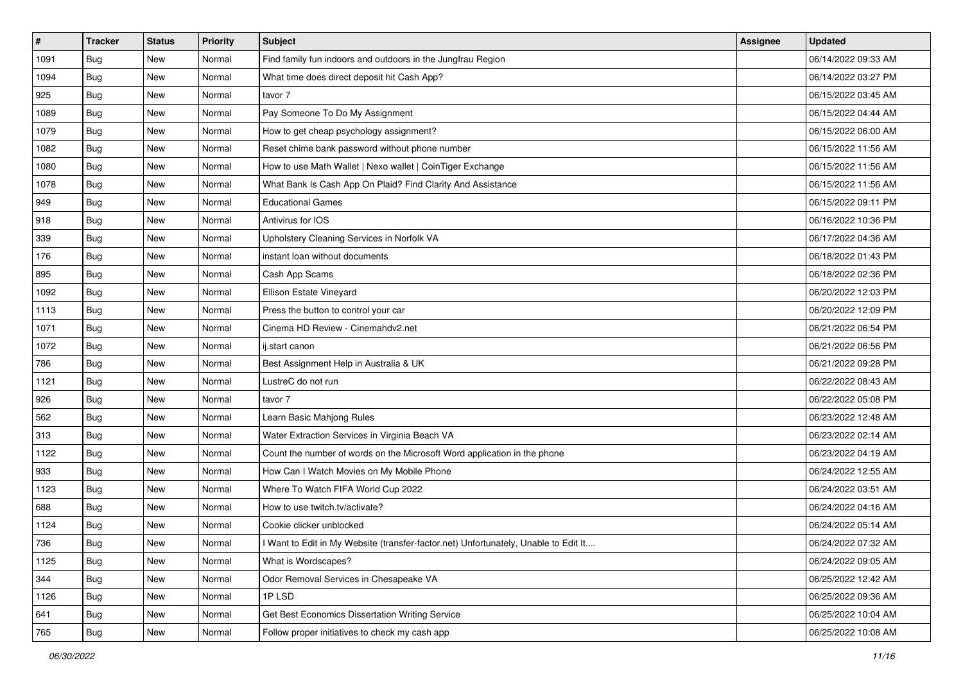| $\vert$ # | <b>Tracker</b> | <b>Status</b> | <b>Priority</b> | Subject                                                                             | <b>Assignee</b> | <b>Updated</b>      |
|-----------|----------------|---------------|-----------------|-------------------------------------------------------------------------------------|-----------------|---------------------|
| 1091      | <b>Bug</b>     | New           | Normal          | Find family fun indoors and outdoors in the Jungfrau Region                         |                 | 06/14/2022 09:33 AM |
| 1094      | Bug            | New           | Normal          | What time does direct deposit hit Cash App?                                         |                 | 06/14/2022 03:27 PM |
| 925       | Bug            | New           | Normal          | tavor 7                                                                             |                 | 06/15/2022 03:45 AM |
| 1089      | <b>Bug</b>     | New           | Normal          | Pay Someone To Do My Assignment                                                     |                 | 06/15/2022 04:44 AM |
| 1079      | <b>Bug</b>     | <b>New</b>    | Normal          | How to get cheap psychology assignment?                                             |                 | 06/15/2022 06:00 AM |
| 1082      | <b>Bug</b>     | New           | Normal          | Reset chime bank password without phone number                                      |                 | 06/15/2022 11:56 AM |
| 1080      | Bug            | New           | Normal          | How to use Math Wallet   Nexo wallet   CoinTiger Exchange                           |                 | 06/15/2022 11:56 AM |
| 1078      | Bug            | New           | Normal          | What Bank Is Cash App On Plaid? Find Clarity And Assistance                         |                 | 06/15/2022 11:56 AM |
| 949       | Bug            | New           | Normal          | <b>Educational Games</b>                                                            |                 | 06/15/2022 09:11 PM |
| 918       | Bug            | New           | Normal          | Antivirus for IOS                                                                   |                 | 06/16/2022 10:36 PM |
| 339       | <b>Bug</b>     | New           | Normal          | Upholstery Cleaning Services in Norfolk VA                                          |                 | 06/17/2022 04:36 AM |
| 176       | Bug            | New           | Normal          | instant loan without documents                                                      |                 | 06/18/2022 01:43 PM |
| 895       | Bug            | New           | Normal          | Cash App Scams                                                                      |                 | 06/18/2022 02:36 PM |
| 1092      | Bug            | New           | Normal          | Ellison Estate Vineyard                                                             |                 | 06/20/2022 12:03 PM |
| 1113      | Bug            | New           | Normal          | Press the button to control your car                                                |                 | 06/20/2022 12:09 PM |
| 1071      | Bug            | New           | Normal          | Cinema HD Review - Cinemahdv2.net                                                   |                 | 06/21/2022 06:54 PM |
| 1072      | <b>Bug</b>     | New           | Normal          | ij.start canon                                                                      |                 | 06/21/2022 06:56 PM |
| 786       | Bug            | New           | Normal          | Best Assignment Help in Australia & UK                                              |                 | 06/21/2022 09:28 PM |
| 1121      | <b>Bug</b>     | New           | Normal          | LustreC do not run                                                                  |                 | 06/22/2022 08:43 AM |
| 926       | Bug            | New           | Normal          | tavor 7                                                                             |                 | 06/22/2022 05:08 PM |
| 562       | Bug            | New           | Normal          | Learn Basic Mahjong Rules                                                           |                 | 06/23/2022 12:48 AM |
| 313       | <b>Bug</b>     | New           | Normal          | Water Extraction Services in Virginia Beach VA                                      |                 | 06/23/2022 02:14 AM |
| 1122      | Bug            | <b>New</b>    | Normal          | Count the number of words on the Microsoft Word application in the phone            |                 | 06/23/2022 04:19 AM |
| 933       | <b>Bug</b>     | New           | Normal          | How Can I Watch Movies on My Mobile Phone                                           |                 | 06/24/2022 12:55 AM |
| 1123      | <b>Bug</b>     | New           | Normal          | Where To Watch FIFA World Cup 2022                                                  |                 | 06/24/2022 03:51 AM |
| 688       | Bug            | New           | Normal          | How to use twitch.tv/activate?                                                      |                 | 06/24/2022 04:16 AM |
| 1124      | <b>Bug</b>     | New           | Normal          | Cookie clicker unblocked                                                            |                 | 06/24/2022 05:14 AM |
| 736       | <b>Bug</b>     | New           | Normal          | I Want to Edit in My Website (transfer-factor.net) Unfortunately, Unable to Edit It |                 | 06/24/2022 07:32 AM |
| 1125      | <b>Bug</b>     | New           | Normal          | What is Wordscapes?                                                                 |                 | 06/24/2022 09:05 AM |
| 344       | Bug            | New           | Normal          | Odor Removal Services in Chesapeake VA                                              |                 | 06/25/2022 12:42 AM |
| 1126      | Bug            | New           | Normal          | 1PLSD                                                                               |                 | 06/25/2022 09:36 AM |
| 641       | <b>Bug</b>     | New           | Normal          | Get Best Economics Dissertation Writing Service                                     |                 | 06/25/2022 10:04 AM |
| 765       | <b>Bug</b>     | New           | Normal          | Follow proper initiatives to check my cash app                                      |                 | 06/25/2022 10:08 AM |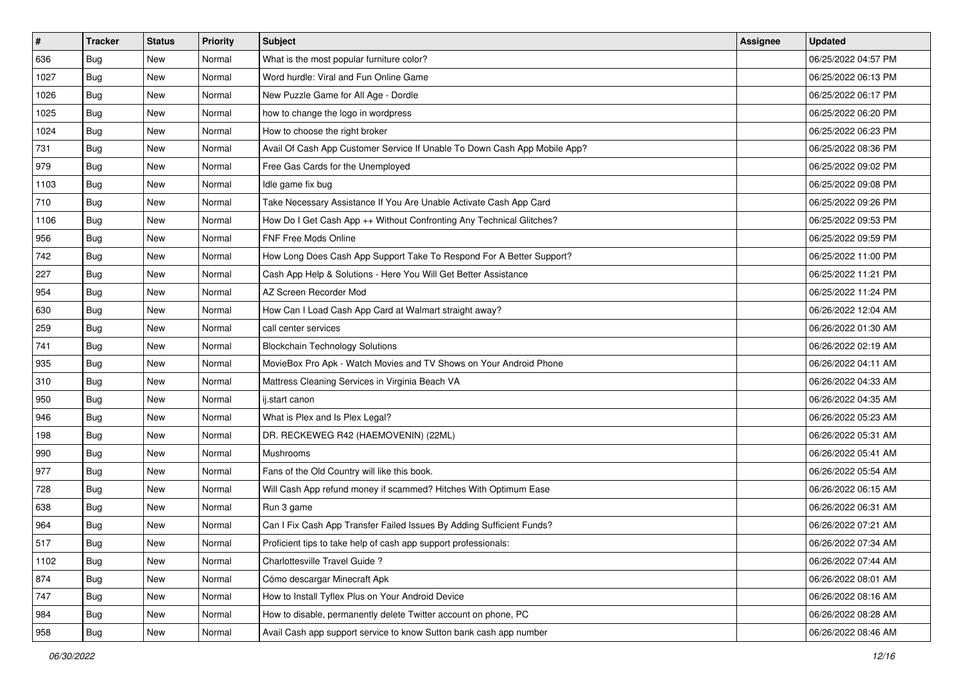| $\sharp$ | <b>Tracker</b> | <b>Status</b> | <b>Priority</b> | <b>Subject</b>                                                            | Assignee | <b>Updated</b>      |
|----------|----------------|---------------|-----------------|---------------------------------------------------------------------------|----------|---------------------|
| 636      | Bug            | New           | Normal          | What is the most popular furniture color?                                 |          | 06/25/2022 04:57 PM |
| 1027     | <b>Bug</b>     | <b>New</b>    | Normal          | Word hurdle: Viral and Fun Online Game                                    |          | 06/25/2022 06:13 PM |
| 1026     | Bug            | New           | Normal          | New Puzzle Game for All Age - Dordle                                      |          | 06/25/2022 06:17 PM |
| 1025     | <b>Bug</b>     | New           | Normal          | how to change the logo in wordpress                                       |          | 06/25/2022 06:20 PM |
| 1024     | Bug            | <b>New</b>    | Normal          | How to choose the right broker                                            |          | 06/25/2022 06:23 PM |
| 731      | <b>Bug</b>     | <b>New</b>    | Normal          | Avail Of Cash App Customer Service If Unable To Down Cash App Mobile App? |          | 06/25/2022 08:36 PM |
| 979      | Bug            | <b>New</b>    | Normal          | Free Gas Cards for the Unemployed                                         |          | 06/25/2022 09:02 PM |
| 1103     | <b>Bug</b>     | New           | Normal          | Idle game fix bug                                                         |          | 06/25/2022 09:08 PM |
| 710      | <b>Bug</b>     | New           | Normal          | Take Necessary Assistance If You Are Unable Activate Cash App Card        |          | 06/25/2022 09:26 PM |
| 1106     | Bug            | <b>New</b>    | Normal          | How Do I Get Cash App ++ Without Confronting Any Technical Glitches?      |          | 06/25/2022 09:53 PM |
| 956      | <b>Bug</b>     | New           | Normal          | FNF Free Mods Online                                                      |          | 06/25/2022 09:59 PM |
| 742      | <b>Bug</b>     | New           | Normal          | How Long Does Cash App Support Take To Respond For A Better Support?      |          | 06/25/2022 11:00 PM |
| 227      | <b>Bug</b>     | New           | Normal          | Cash App Help & Solutions - Here You Will Get Better Assistance           |          | 06/25/2022 11:21 PM |
| 954      | Bug            | New           | Normal          | AZ Screen Recorder Mod                                                    |          | 06/25/2022 11:24 PM |
| 630      | <b>Bug</b>     | <b>New</b>    | Normal          | How Can I Load Cash App Card at Walmart straight away?                    |          | 06/26/2022 12:04 AM |
| 259      | Bug            | New           | Normal          | call center services                                                      |          | 06/26/2022 01:30 AM |
| 741      | <b>Bug</b>     | New           | Normal          | <b>Blockchain Technology Solutions</b>                                    |          | 06/26/2022 02:19 AM |
| 935      | <b>Bug</b>     | <b>New</b>    | Normal          | MovieBox Pro Apk - Watch Movies and TV Shows on Your Android Phone        |          | 06/26/2022 04:11 AM |
| 310      | <b>Bug</b>     | New           | Normal          | Mattress Cleaning Services in Virginia Beach VA                           |          | 06/26/2022 04:33 AM |
| 950      | <b>Bug</b>     | <b>New</b>    | Normal          | ij.start canon                                                            |          | 06/26/2022 04:35 AM |
| 946      | <b>Bug</b>     | New           | Normal          | What is Plex and Is Plex Legal?                                           |          | 06/26/2022 05:23 AM |
| 198      | <b>Bug</b>     | <b>New</b>    | Normal          | DR. RECKEWEG R42 (HAEMOVENIN) (22ML)                                      |          | 06/26/2022 05:31 AM |
| 990      | Bug            | <b>New</b>    | Normal          | Mushrooms                                                                 |          | 06/26/2022 05:41 AM |
| 977      | <b>Bug</b>     | New           | Normal          | Fans of the Old Country will like this book.                              |          | 06/26/2022 05:54 AM |
| 728      | Bug            | New           | Normal          | Will Cash App refund money if scammed? Hitches With Optimum Ease          |          | 06/26/2022 06:15 AM |
| 638      | <b>Bug</b>     | New           | Normal          | Run 3 game                                                                |          | 06/26/2022 06:31 AM |
| 964      | <b>Bug</b>     | New           | Normal          | Can I Fix Cash App Transfer Failed Issues By Adding Sufficient Funds?     |          | 06/26/2022 07:21 AM |
| 517      | <b>Bug</b>     | New           | Normal          | Proficient tips to take help of cash app support professionals:           |          | 06/26/2022 07:34 AM |
| 1102     | <b>Bug</b>     | New           | Normal          | Charlottesville Travel Guide?                                             |          | 06/26/2022 07:44 AM |
| 874      | <b>Bug</b>     | New           | Normal          | Cómo descargar Minecraft Apk                                              |          | 06/26/2022 08:01 AM |
| 747      | <b>Bug</b>     | New           | Normal          | How to Install Tyflex Plus on Your Android Device                         |          | 06/26/2022 08:16 AM |
| 984      | <b>Bug</b>     | New           | Normal          | How to disable, permanently delete Twitter account on phone, PC           |          | 06/26/2022 08:28 AM |
| 958      | <b>Bug</b>     | New           | Normal          | Avail Cash app support service to know Sutton bank cash app number        |          | 06/26/2022 08:46 AM |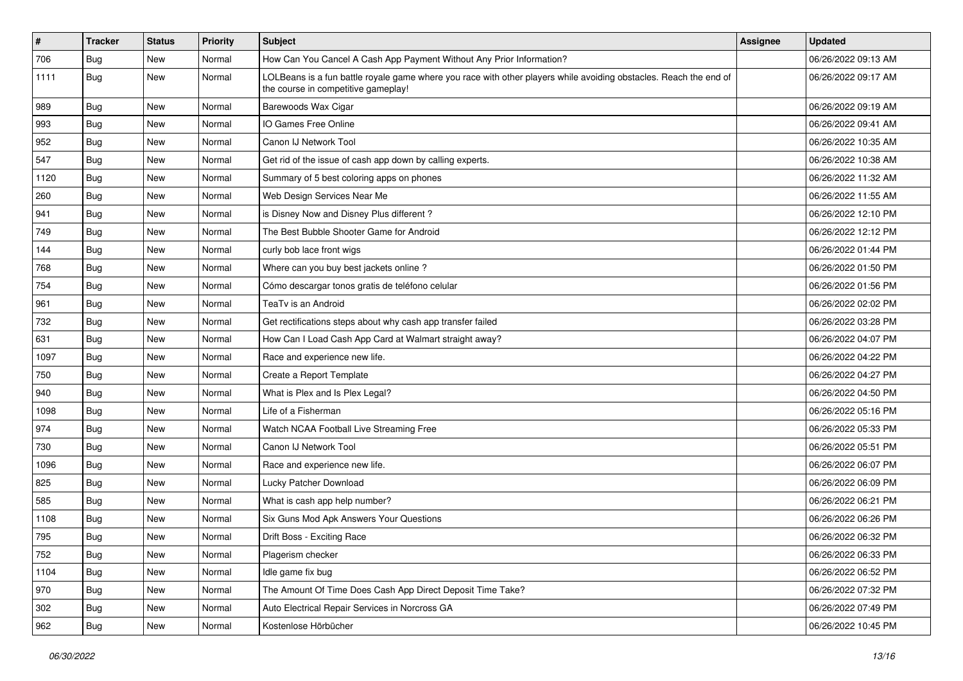| $\vert$ # | <b>Tracker</b> | <b>Status</b> | <b>Priority</b> | <b>Subject</b>                                                                                                                                           | <b>Assignee</b> | <b>Updated</b>      |
|-----------|----------------|---------------|-----------------|----------------------------------------------------------------------------------------------------------------------------------------------------------|-----------------|---------------------|
| 706       | <b>Bug</b>     | New           | Normal          | How Can You Cancel A Cash App Payment Without Any Prior Information?                                                                                     |                 | 06/26/2022 09:13 AM |
| 1111      | Bug            | New           | Normal          | LOLBeans is a fun battle royale game where you race with other players while avoiding obstacles. Reach the end of<br>the course in competitive gameplay! |                 | 06/26/2022 09:17 AM |
| 989       | Bug            | <b>New</b>    | Normal          | Barewoods Wax Cigar                                                                                                                                      |                 | 06/26/2022 09:19 AM |
| 993       | Bug            | <b>New</b>    | Normal          | IO Games Free Online                                                                                                                                     |                 | 06/26/2022 09:41 AM |
| 952       | Bug            | New           | Normal          | Canon IJ Network Tool                                                                                                                                    |                 | 06/26/2022 10:35 AM |
| 547       | Bug            | New           | Normal          | Get rid of the issue of cash app down by calling experts.                                                                                                |                 | 06/26/2022 10:38 AM |
| 1120      | Bug            | <b>New</b>    | Normal          | Summary of 5 best coloring apps on phones                                                                                                                |                 | 06/26/2022 11:32 AM |
| 260       | Bug            | New           | Normal          | Web Design Services Near Me                                                                                                                              |                 | 06/26/2022 11:55 AM |
| 941       | Bug            | <b>New</b>    | Normal          | is Disney Now and Disney Plus different?                                                                                                                 |                 | 06/26/2022 12:10 PM |
| 749       | Bug            | New           | Normal          | The Best Bubble Shooter Game for Android                                                                                                                 |                 | 06/26/2022 12:12 PM |
| 144       | <b>Bug</b>     | New           | Normal          | curly bob lace front wigs                                                                                                                                |                 | 06/26/2022 01:44 PM |
| 768       | Bug            | <b>New</b>    | Normal          | Where can you buy best jackets online?                                                                                                                   |                 | 06/26/2022 01:50 PM |
| 754       | Bug            | New           | Normal          | Cómo descargar tonos gratis de teléfono celular                                                                                                          |                 | 06/26/2022 01:56 PM |
| 961       | Bug            | New           | Normal          | TeaTv is an Android                                                                                                                                      |                 | 06/26/2022 02:02 PM |
| 732       | Bug            | New           | Normal          | Get rectifications steps about why cash app transfer failed                                                                                              |                 | 06/26/2022 03:28 PM |
| 631       | <b>Bug</b>     | New           | Normal          | How Can I Load Cash App Card at Walmart straight away?                                                                                                   |                 | 06/26/2022 04:07 PM |
| 1097      | Bug            | <b>New</b>    | Normal          | Race and experience new life.                                                                                                                            |                 | 06/26/2022 04:22 PM |
| 750       | Bug            | New           | Normal          | Create a Report Template                                                                                                                                 |                 | 06/26/2022 04:27 PM |
| 940       | Bug            | New           | Normal          | What is Plex and Is Plex Legal?                                                                                                                          |                 | 06/26/2022 04:50 PM |
| 1098      | Bug            | <b>New</b>    | Normal          | Life of a Fisherman                                                                                                                                      |                 | 06/26/2022 05:16 PM |
| 974       | <b>Bug</b>     | <b>New</b>    | Normal          | Watch NCAA Football Live Streaming Free                                                                                                                  |                 | 06/26/2022 05:33 PM |
| 730       | Bug            | <b>New</b>    | Normal          | Canon IJ Network Tool                                                                                                                                    |                 | 06/26/2022 05:51 PM |
| 1096      | <b>Bug</b>     | New           | Normal          | Race and experience new life.                                                                                                                            |                 | 06/26/2022 06:07 PM |
| 825       | Bug            | New           | Normal          | Lucky Patcher Download                                                                                                                                   |                 | 06/26/2022 06:09 PM |
| 585       | Bug            | <b>New</b>    | Normal          | What is cash app help number?                                                                                                                            |                 | 06/26/2022 06:21 PM |
| 1108      | <b>Bug</b>     | New           | Normal          | Six Guns Mod Apk Answers Your Questions                                                                                                                  |                 | 06/26/2022 06:26 PM |
| 795       | <b>Bug</b>     | New           | Normal          | Drift Boss - Exciting Race                                                                                                                               |                 | 06/26/2022 06:32 PM |
| 752       | <b>Bug</b>     | New           | Normal          | Plagerism checker                                                                                                                                        |                 | 06/26/2022 06:33 PM |
| 1104      | Bug            | <b>New</b>    | Normal          | Idle game fix bug                                                                                                                                        |                 | 06/26/2022 06:52 PM |
| 970       | Bug            | New           | Normal          | The Amount Of Time Does Cash App Direct Deposit Time Take?                                                                                               |                 | 06/26/2022 07:32 PM |
| 302       | <b>Bug</b>     | New           | Normal          | Auto Electrical Repair Services in Norcross GA                                                                                                           |                 | 06/26/2022 07:49 PM |
| 962       | <b>Bug</b>     | New           | Normal          | Kostenlose Hörbücher                                                                                                                                     |                 | 06/26/2022 10:45 PM |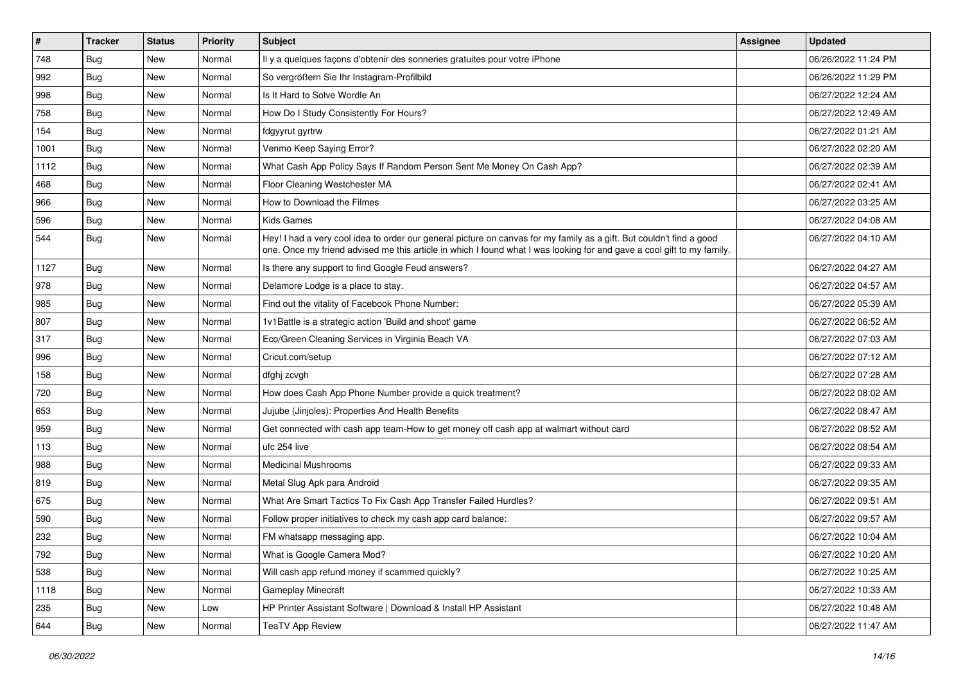| $\sharp$ | <b>Tracker</b> | <b>Status</b> | <b>Priority</b> | Subject                                                                                                                                                                                                                                        | Assignee | <b>Updated</b>      |
|----------|----------------|---------------|-----------------|------------------------------------------------------------------------------------------------------------------------------------------------------------------------------------------------------------------------------------------------|----------|---------------------|
| 748      | <b>Bug</b>     | New           | Normal          | Il y a quelques façons d'obtenir des sonneries gratuites pour votre iPhone                                                                                                                                                                     |          | 06/26/2022 11:24 PM |
| 992      | <b>Bug</b>     | <b>New</b>    | Normal          | So vergrößern Sie Ihr Instagram-Profilbild                                                                                                                                                                                                     |          | 06/26/2022 11:29 PM |
| 998      | Bug            | New           | Normal          | Is It Hard to Solve Wordle An                                                                                                                                                                                                                  |          | 06/27/2022 12:24 AM |
| 758      | <b>Bug</b>     | <b>New</b>    | Normal          | How Do I Study Consistently For Hours?                                                                                                                                                                                                         |          | 06/27/2022 12:49 AM |
| 154      | Bug            | <b>New</b>    | Normal          | fdgyyrut gyrtrw                                                                                                                                                                                                                                |          | 06/27/2022 01:21 AM |
| 1001     | Bug            | <b>New</b>    | Normal          | Venmo Keep Saying Error?                                                                                                                                                                                                                       |          | 06/27/2022 02:20 AM |
| 1112     | Bug            | New           | Normal          | What Cash App Policy Says If Random Person Sent Me Money On Cash App?                                                                                                                                                                          |          | 06/27/2022 02:39 AM |
| 468      | Bug            | New           | Normal          | Floor Cleaning Westchester MA                                                                                                                                                                                                                  |          | 06/27/2022 02:41 AM |
| 966      | <b>Bug</b>     | <b>New</b>    | Normal          | How to Download the Filmes                                                                                                                                                                                                                     |          | 06/27/2022 03:25 AM |
| 596      | Bug            | <b>New</b>    | Normal          | <b>Kids Games</b>                                                                                                                                                                                                                              |          | 06/27/2022 04:08 AM |
| 544      | Bug            | New           | Normal          | Hey! I had a very cool idea to order our general picture on canvas for my family as a gift. But couldn't find a good<br>one. Once my friend advised me this article in which I found what I was looking for and gave a cool gift to my family. |          | 06/27/2022 04:10 AM |
| 1127     | <b>Bug</b>     | <b>New</b>    | Normal          | Is there any support to find Google Feud answers?                                                                                                                                                                                              |          | 06/27/2022 04:27 AM |
| 978      | Bug            | New           | Normal          | Delamore Lodge is a place to stay.                                                                                                                                                                                                             |          | 06/27/2022 04:57 AM |
| 985      | <b>Bug</b>     | New           | Normal          | Find out the vitality of Facebook Phone Number:                                                                                                                                                                                                |          | 06/27/2022 05:39 AM |
| 807      | <b>Bug</b>     | New           | Normal          | 1v1Battle is a strategic action 'Build and shoot' game                                                                                                                                                                                         |          | 06/27/2022 06:52 AM |
| 317      | <b>Bug</b>     | <b>New</b>    | Normal          | Eco/Green Cleaning Services in Virginia Beach VA                                                                                                                                                                                               |          | 06/27/2022 07:03 AM |
| 996      | Bug            | <b>New</b>    | Normal          | Cricut.com/setup                                                                                                                                                                                                                               |          | 06/27/2022 07:12 AM |
| 158      | <b>Bug</b>     | <b>New</b>    | Normal          | dfghj zcvgh                                                                                                                                                                                                                                    |          | 06/27/2022 07:28 AM |
| 720      | Bug            | New           | Normal          | How does Cash App Phone Number provide a quick treatment?                                                                                                                                                                                      |          | 06/27/2022 08:02 AM |
| 653      | <b>Bug</b>     | <b>New</b>    | Normal          | Jujube (Jinjoles): Properties And Health Benefits                                                                                                                                                                                              |          | 06/27/2022 08:47 AM |
| 959      | <b>Bug</b>     | New           | Normal          | Get connected with cash app team-How to get money off cash app at walmart without card                                                                                                                                                         |          | 06/27/2022 08:52 AM |
| 113      | Bug            | <b>New</b>    | Normal          | ufc 254 live                                                                                                                                                                                                                                   |          | 06/27/2022 08:54 AM |
| 988      | <b>Bug</b>     | New           | Normal          | <b>Medicinal Mushrooms</b>                                                                                                                                                                                                                     |          | 06/27/2022 09:33 AM |
| 819      | <b>Bug</b>     | New           | Normal          | Metal Slug Apk para Android                                                                                                                                                                                                                    |          | 06/27/2022 09:35 AM |
| 675      | <b>Bug</b>     | New           | Normal          | What Are Smart Tactics To Fix Cash App Transfer Failed Hurdles?                                                                                                                                                                                |          | 06/27/2022 09:51 AM |
| 590      | <b>Bug</b>     | New           | Normal          | Follow proper initiatives to check my cash app card balance:                                                                                                                                                                                   |          | 06/27/2022 09:57 AM |
| 232      | <b>Bug</b>     | <b>New</b>    | Normal          | FM whatsapp messaging app.                                                                                                                                                                                                                     |          | 06/27/2022 10:04 AM |
| 792      | Bug            | New           | Normal          | What is Google Camera Mod?                                                                                                                                                                                                                     |          | 06/27/2022 10:20 AM |
| 538      | Bug            | New           | Normal          | Will cash app refund money if scammed quickly?                                                                                                                                                                                                 |          | 06/27/2022 10:25 AM |
| 1118     | Bug            | New           | Normal          | <b>Gameplay Minecraft</b>                                                                                                                                                                                                                      |          | 06/27/2022 10:33 AM |
| 235      | Bug            | New           | Low             | HP Printer Assistant Software   Download & Install HP Assistant                                                                                                                                                                                |          | 06/27/2022 10:48 AM |
| 644      | <b>Bug</b>     | New           | Normal          | <b>TeaTV App Review</b>                                                                                                                                                                                                                        |          | 06/27/2022 11:47 AM |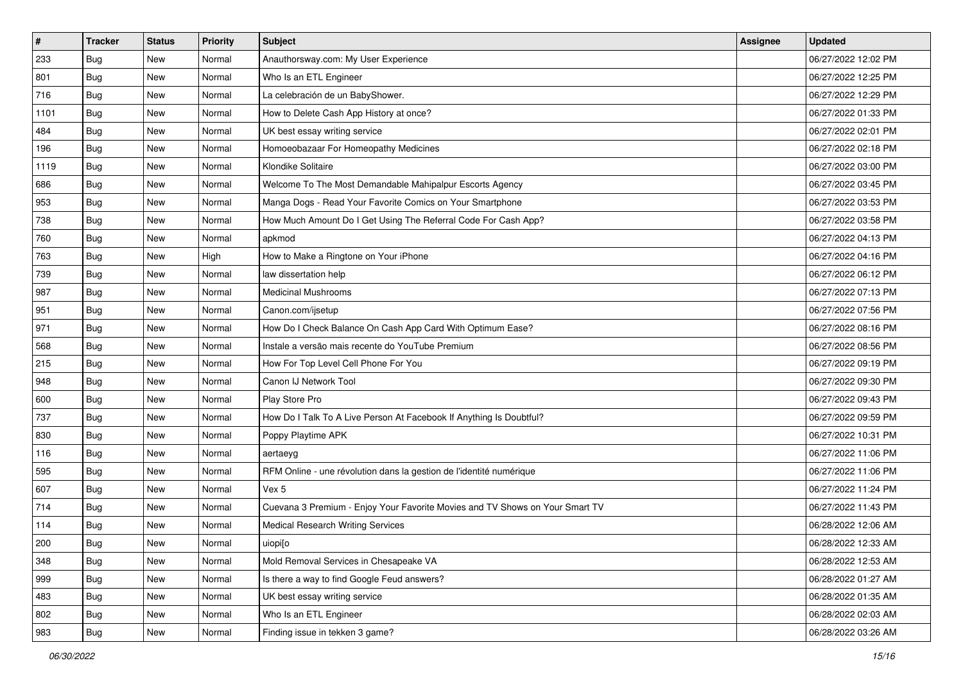| $\sharp$ | <b>Tracker</b> | <b>Status</b> | <b>Priority</b> | Subject                                                                      | Assignee | <b>Updated</b>      |
|----------|----------------|---------------|-----------------|------------------------------------------------------------------------------|----------|---------------------|
| 233      | Bug            | New           | Normal          | Anauthorsway.com: My User Experience                                         |          | 06/27/2022 12:02 PM |
| 801      | Bug            | New           | Normal          | Who Is an ETL Engineer                                                       |          | 06/27/2022 12:25 PM |
| 716      | Bug            | New           | Normal          | La celebración de un BabyShower.                                             |          | 06/27/2022 12:29 PM |
| 1101     | <b>Bug</b>     | <b>New</b>    | Normal          | How to Delete Cash App History at once?                                      |          | 06/27/2022 01:33 PM |
| 484      | Bug            | New           | Normal          | UK best essay writing service                                                |          | 06/27/2022 02:01 PM |
| 196      | <b>Bug</b>     | <b>New</b>    | Normal          | Homoeobazaar For Homeopathy Medicines                                        |          | 06/27/2022 02:18 PM |
| 1119     | Bug            | New           | Normal          | Klondike Solitaire                                                           |          | 06/27/2022 03:00 PM |
| 686      | Bug            | New           | Normal          | Welcome To The Most Demandable Mahipalpur Escorts Agency                     |          | 06/27/2022 03:45 PM |
| 953      | <b>Bug</b>     | New           | Normal          | Manga Dogs - Read Your Favorite Comics on Your Smartphone                    |          | 06/27/2022 03:53 PM |
| 738      | Bug            | New           | Normal          | How Much Amount Do I Get Using The Referral Code For Cash App?               |          | 06/27/2022 03:58 PM |
| 760      | <b>Bug</b>     | New           | Normal          | apkmod                                                                       |          | 06/27/2022 04:13 PM |
| 763      | <b>Bug</b>     | New           | High            | How to Make a Ringtone on Your iPhone                                        |          | 06/27/2022 04:16 PM |
| 739      | <b>Bug</b>     | New           | Normal          | law dissertation help                                                        |          | 06/27/2022 06:12 PM |
| 987      | <b>Bug</b>     | New           | Normal          | <b>Medicinal Mushrooms</b>                                                   |          | 06/27/2022 07:13 PM |
| 951      | Bug            | <b>New</b>    | Normal          | Canon.com/ijsetup                                                            |          | 06/27/2022 07:56 PM |
| 971      | Bug            | New           | Normal          | How Do I Check Balance On Cash App Card With Optimum Ease?                   |          | 06/27/2022 08:16 PM |
| 568      | <b>Bug</b>     | <b>New</b>    | Normal          | Instale a versão mais recente do YouTube Premium                             |          | 06/27/2022 08:56 PM |
| 215      | Bug            | New           | Normal          | How For Top Level Cell Phone For You                                         |          | 06/27/2022 09:19 PM |
| 948      | Bug            | New           | Normal          | Canon IJ Network Tool                                                        |          | 06/27/2022 09:30 PM |
| 600      | Bug            | New           | Normal          | Play Store Pro                                                               |          | 06/27/2022 09:43 PM |
| 737      | Bug            | New           | Normal          | How Do I Talk To A Live Person At Facebook If Anything Is Doubtful?          |          | 06/27/2022 09:59 PM |
| 830      | <b>Bug</b>     | <b>New</b>    | Normal          | Poppy Playtime APK                                                           |          | 06/27/2022 10:31 PM |
| 116      | Bug            | New           | Normal          | aertaeyg                                                                     |          | 06/27/2022 11:06 PM |
| 595      | <b>Bug</b>     | New           | Normal          | RFM Online - une révolution dans la gestion de l'identité numérique          |          | 06/27/2022 11:06 PM |
| 607      | Bug            | New           | Normal          | Vex 5                                                                        |          | 06/27/2022 11:24 PM |
| 714      | <b>Bug</b>     | New           | Normal          | Cuevana 3 Premium - Enjoy Your Favorite Movies and TV Shows on Your Smart TV |          | 06/27/2022 11:43 PM |
| 114      | <b>Bug</b>     | New           | Normal          | Medical Research Writing Services                                            |          | 06/28/2022 12:06 AM |
| 200      | <b>Bug</b>     | New           | Normal          | uiopi[o                                                                      |          | 06/28/2022 12:33 AM |
| 348      | <b>Bug</b>     | New           | Normal          | Mold Removal Services in Chesapeake VA                                       |          | 06/28/2022 12:53 AM |
| 999      | <b>Bug</b>     | New           | Normal          | Is there a way to find Google Feud answers?                                  |          | 06/28/2022 01:27 AM |
| 483      | <b>Bug</b>     | New           | Normal          | UK best essay writing service                                                |          | 06/28/2022 01:35 AM |
| 802      | <b>Bug</b>     | New           | Normal          | Who Is an ETL Engineer                                                       |          | 06/28/2022 02:03 AM |
| 983      | Bug            | New           | Normal          | Finding issue in tekken 3 game?                                              |          | 06/28/2022 03:26 AM |